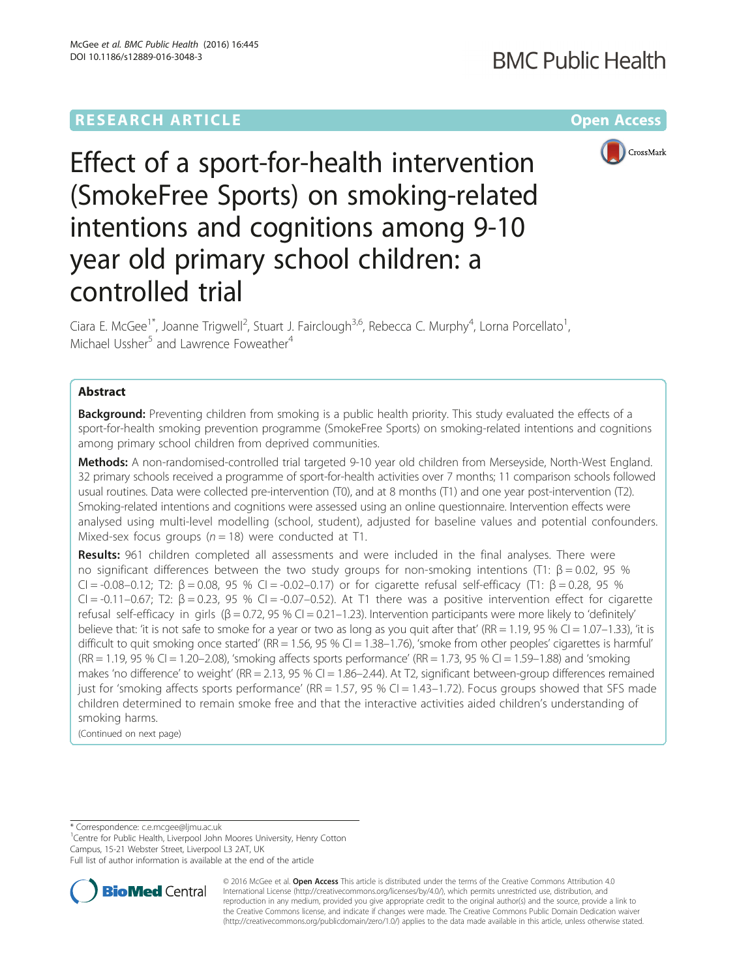# **RESEARCH ARTICLE Example 2014 12:30 The Company Access** (RESEARCH ARTICLE



Effect of a sport-for-health intervention (SmokeFree Sports) on smoking-related intentions and cognitions among 9-10 year old primary school children: a controlled trial

Ciara E. McGee<sup>1\*</sup>, Joanne Trigwell<sup>2</sup>, Stuart J. Fairclough<sup>3,6</sup>, Rebecca C. Murphy<sup>4</sup>, Lorna Porcellato<sup>1</sup> , Michael Ussher<sup>5</sup> and Lawrence Foweather<sup>4</sup>

# Abstract

**Background:** Preventing children from smoking is a public health priority. This study evaluated the effects of a sport-for-health smoking prevention programme (SmokeFree Sports) on smoking-related intentions and cognitions among primary school children from deprived communities.

Methods: A non-randomised-controlled trial targeted 9-10 year old children from Merseyside, North-West England. 32 primary schools received a programme of sport-for-health activities over 7 months; 11 comparison schools followed usual routines. Data were collected pre-intervention (T0), and at 8 months (T1) and one year post-intervention (T2). Smoking-related intentions and cognitions were assessed using an online questionnaire. Intervention effects were analysed using multi-level modelling (school, student), adjusted for baseline values and potential confounders. Mixed-sex focus groups ( $n = 18$ ) were conducted at T1.

Results: 961 children completed all assessments and were included in the final analyses. There were no significant differences between the two study groups for non-smoking intentions (T1:  $\beta$  = 0.02, 95 % CI = -0.08-0.12; T2:  $β = 0.08$ , 95 % CI = -0.02-0.17) or for cigarette refusal self-efficacy (T1:  $β = 0.28$ , 95 %  $Cl = -0.11 - 0.67$ ; T2:  $\beta = 0.23$ , 95 %  $Cl = -0.07 - 0.52$ ). At T1 there was a positive intervention effect for cigarette refusal self-efficacy in girls (β = 0.72, 95 % CI = 0.21–1.23). Intervention participants were more likely to 'definitely' believe that: 'it is not safe to smoke for a year or two as long as you quit after that' (RR = 1.19, 95 % CI = 1.07–1.33), 'it is difficult to quit smoking once started' (RR = 1.56, 95 % CI = 1.38–1.76), 'smoke from other peoples' cigarettes is harmful' (RR = 1.19, 95 % CI = 1.20–2.08), 'smoking affects sports performance' (RR = 1.73, 95 % CI = 1.59–1.88) and 'smoking makes 'no difference' to weight' (RR = 2.13, 95 % CI = 1.86–2.44). At T2, significant between-group differences remained just for 'smoking affects sports performance' ( $RR = 1.57$ ,  $95$  % CI = 1.43–1.72). Focus groups showed that SFS made children determined to remain smoke free and that the interactive activities aided children's understanding of smoking harms.

(Continued on next page)

\* Correspondence: [c.e.mcgee@ljmu.ac.uk](mailto:c.e.mcgee@ljmu.ac.uk) <sup>1</sup>

<sup>1</sup> Centre for Public Health, Liverpool John Moores University, Henry Cotton Campus, 15-21 Webster Street, Liverpool L3 2AT, UK

Full list of author information is available at the end of the article



© 2016 McGee et al. Open Access This article is distributed under the terms of the Creative Commons Attribution 4.0 International License [\(http://creativecommons.org/licenses/by/4.0/](http://creativecommons.org/licenses/by/4.0/)), which permits unrestricted use, distribution, and reproduction in any medium, provided you give appropriate credit to the original author(s) and the source, provide a link to the Creative Commons license, and indicate if changes were made. The Creative Commons Public Domain Dedication waiver [\(http://creativecommons.org/publicdomain/zero/1.0/](http://creativecommons.org/publicdomain/zero/1.0/)) applies to the data made available in this article, unless otherwise stated.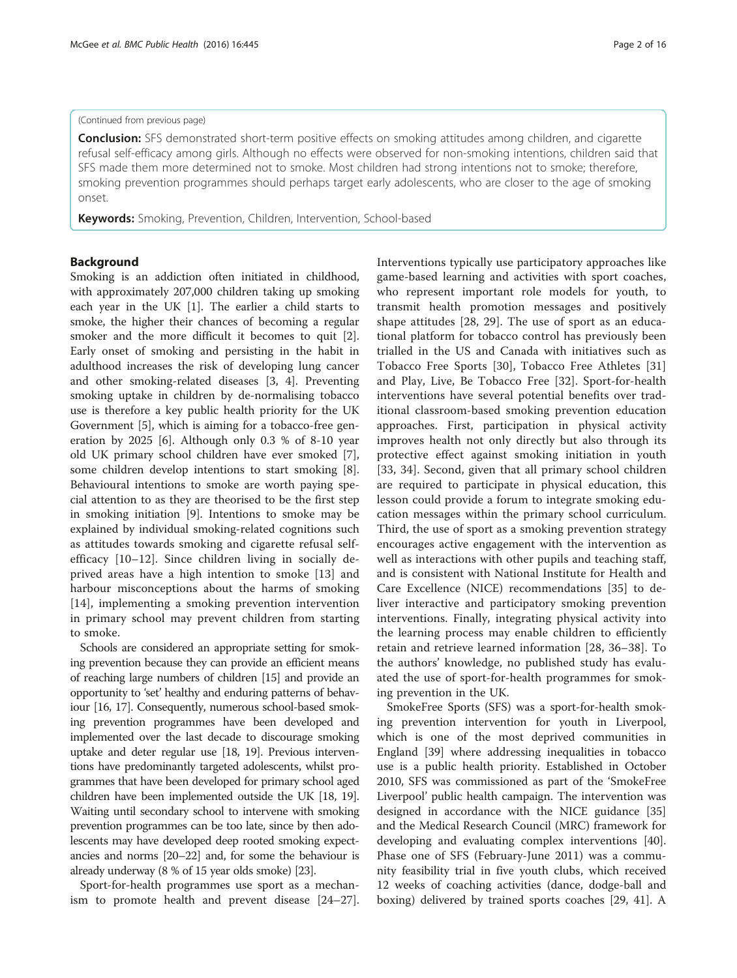#### (Continued from previous page)

**Conclusion:** SFS demonstrated short-term positive effects on smoking attitudes among children, and cigarette refusal self-efficacy among girls. Although no effects were observed for non-smoking intentions, children said that SFS made them more determined not to smoke. Most children had strong intentions not to smoke; therefore, smoking prevention programmes should perhaps target early adolescents, who are closer to the age of smoking onset.

Keywords: Smoking, Prevention, Children, Intervention, School-based

## Background

Smoking is an addiction often initiated in childhood, with approximately 207,000 children taking up smoking each year in the UK [\[1](#page-13-0)]. The earlier a child starts to smoke, the higher their chances of becoming a regular smoker and the more difficult it becomes to quit [\[2](#page-13-0)]. Early onset of smoking and persisting in the habit in adulthood increases the risk of developing lung cancer and other smoking-related diseases [[3, 4\]](#page-13-0). Preventing smoking uptake in children by de-normalising tobacco use is therefore a key public health priority for the UK Government [[5\]](#page-13-0), which is aiming for a tobacco-free generation by 2025 [\[6](#page-13-0)]. Although only 0.3 % of 8-10 year old UK primary school children have ever smoked [\[7](#page-13-0)], some children develop intentions to start smoking [\[8](#page-13-0)]. Behavioural intentions to smoke are worth paying special attention to as they are theorised to be the first step in smoking initiation [[9\]](#page-13-0). Intentions to smoke may be explained by individual smoking-related cognitions such as attitudes towards smoking and cigarette refusal selfefficacy [\[10](#page-13-0)–[12](#page-13-0)]. Since children living in socially deprived areas have a high intention to smoke [[13\]](#page-13-0) and harbour misconceptions about the harms of smoking [[14\]](#page-13-0), implementing a smoking prevention intervention in primary school may prevent children from starting to smoke.

Schools are considered an appropriate setting for smoking prevention because they can provide an efficient means of reaching large numbers of children [\[15\]](#page-13-0) and provide an opportunity to 'set' healthy and enduring patterns of behaviour [[16](#page-13-0), [17\]](#page-13-0). Consequently, numerous school-based smoking prevention programmes have been developed and implemented over the last decade to discourage smoking uptake and deter regular use [\[18, 19\]](#page-13-0). Previous interventions have predominantly targeted adolescents, whilst programmes that have been developed for primary school aged children have been implemented outside the UK [[18](#page-13-0), [19](#page-13-0)]. Waiting until secondary school to intervene with smoking prevention programmes can be too late, since by then adolescents may have developed deep rooted smoking expectancies and norms [[20](#page-13-0)–[22](#page-13-0)] and, for some the behaviour is already underway (8 % of 15 year olds smoke) [\[23\]](#page-13-0).

Sport-for-health programmes use sport as a mechanism to promote health and prevent disease [[24](#page-13-0)–[27](#page-13-0)]. Interventions typically use participatory approaches like game-based learning and activities with sport coaches, who represent important role models for youth, to transmit health promotion messages and positively shape attitudes [[28](#page-13-0), [29\]](#page-13-0). The use of sport as an educational platform for tobacco control has previously been trialled in the US and Canada with initiatives such as Tobacco Free Sports [\[30](#page-13-0)], Tobacco Free Athletes [\[31](#page-13-0)] and Play, Live, Be Tobacco Free [[32\]](#page-13-0). Sport-for-health interventions have several potential benefits over traditional classroom-based smoking prevention education approaches. First, participation in physical activity improves health not only directly but also through its protective effect against smoking initiation in youth [[33, 34\]](#page-13-0). Second, given that all primary school children are required to participate in physical education, this lesson could provide a forum to integrate smoking education messages within the primary school curriculum. Third, the use of sport as a smoking prevention strategy encourages active engagement with the intervention as well as interactions with other pupils and teaching staff, and is consistent with National Institute for Health and Care Excellence (NICE) recommendations [\[35](#page-13-0)] to deliver interactive and participatory smoking prevention interventions. Finally, integrating physical activity into the learning process may enable children to efficiently retain and retrieve learned information [\[28](#page-13-0), [36](#page-13-0)–[38\]](#page-14-0). To the authors' knowledge, no published study has evaluated the use of sport-for-health programmes for smoking prevention in the UK.

SmokeFree Sports (SFS) was a sport-for-health smoking prevention intervention for youth in Liverpool, which is one of the most deprived communities in England [\[39](#page-14-0)] where addressing inequalities in tobacco use is a public health priority. Established in October 2010, SFS was commissioned as part of the 'SmokeFree Liverpool' public health campaign. The intervention was designed in accordance with the NICE guidance [[35](#page-13-0)] and the Medical Research Council (MRC) framework for developing and evaluating complex interventions [\[40](#page-14-0)]. Phase one of SFS (February-June 2011) was a community feasibility trial in five youth clubs, which received 12 weeks of coaching activities (dance, dodge-ball and boxing) delivered by trained sports coaches [\[29,](#page-13-0) [41](#page-14-0)]. A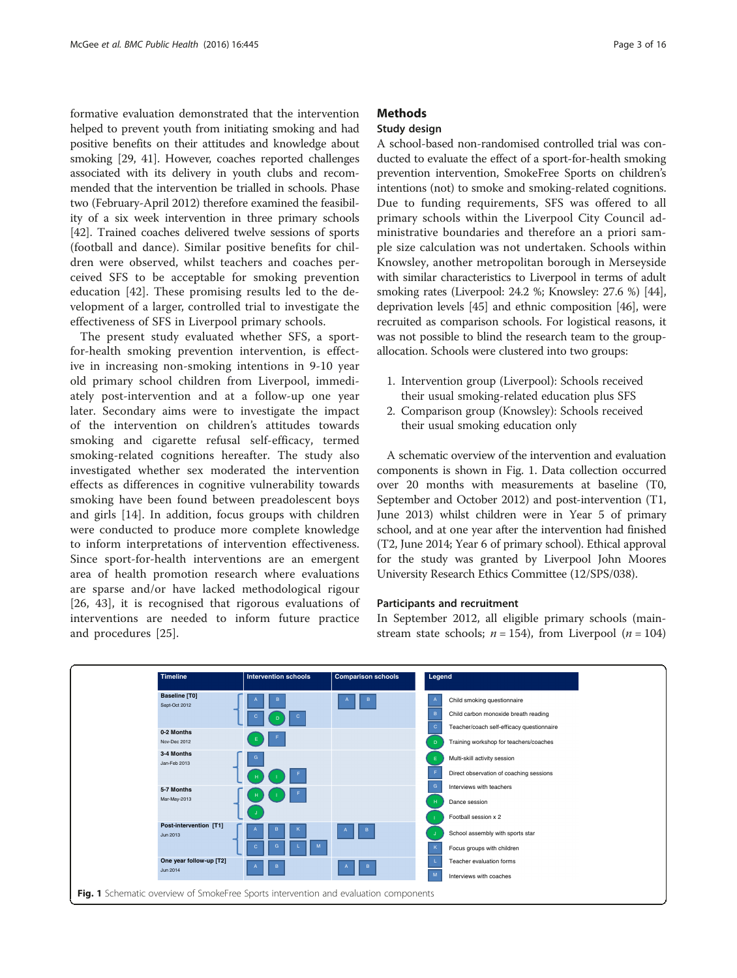formative evaluation demonstrated that the intervention helped to prevent youth from initiating smoking and had positive benefits on their attitudes and knowledge about smoking [\[29,](#page-13-0) [41\]](#page-14-0). However, coaches reported challenges associated with its delivery in youth clubs and recommended that the intervention be trialled in schools. Phase two (February-April 2012) therefore examined the feasibility of a six week intervention in three primary schools [[42](#page-14-0)]. Trained coaches delivered twelve sessions of sports (football and dance). Similar positive benefits for children were observed, whilst teachers and coaches perceived SFS to be acceptable for smoking prevention education [[42\]](#page-14-0). These promising results led to the development of a larger, controlled trial to investigate the effectiveness of SFS in Liverpool primary schools.

The present study evaluated whether SFS, a sportfor-health smoking prevention intervention, is effective in increasing non-smoking intentions in 9-10 year old primary school children from Liverpool, immediately post-intervention and at a follow-up one year later. Secondary aims were to investigate the impact of the intervention on children's attitudes towards smoking and cigarette refusal self-efficacy, termed smoking-related cognitions hereafter. The study also investigated whether sex moderated the intervention effects as differences in cognitive vulnerability towards smoking have been found between preadolescent boys and girls [\[14](#page-13-0)]. In addition, focus groups with children were conducted to produce more complete knowledge to inform interpretations of intervention effectiveness. Since sport-for-health interventions are an emergent area of health promotion research where evaluations are sparse and/or have lacked methodological rigour [[26,](#page-13-0) [43](#page-14-0)], it is recognised that rigorous evaluations of interventions are needed to inform future practice and procedures [\[25](#page-13-0)].

# **Methods**

# Study design

A school-based non-randomised controlled trial was conducted to evaluate the effect of a sport-for-health smoking prevention intervention, SmokeFree Sports on children's intentions (not) to smoke and smoking-related cognitions. Due to funding requirements, SFS was offered to all primary schools within the Liverpool City Council administrative boundaries and therefore an a priori sample size calculation was not undertaken. Schools within Knowsley, another metropolitan borough in Merseyside with similar characteristics to Liverpool in terms of adult smoking rates (Liverpool: 24.2 %; Knowsley: 27.6 %) [[44](#page-14-0)], deprivation levels [\[45\]](#page-14-0) and ethnic composition [\[46\]](#page-14-0), were recruited as comparison schools. For logistical reasons, it was not possible to blind the research team to the groupallocation. Schools were clustered into two groups:

- 1. Intervention group (Liverpool): Schools received their usual smoking-related education plus SFS
- 2. Comparison group (Knowsley): Schools received their usual smoking education only

A schematic overview of the intervention and evaluation components is shown in Fig. 1. Data collection occurred over 20 months with measurements at baseline (T0, September and October 2012) and post-intervention (T1, June 2013) whilst children were in Year 5 of primary school, and at one year after the intervention had finished (T2, June 2014; Year 6 of primary school). Ethical approval for the study was granted by Liverpool John Moores University Research Ethics Committee (12/SPS/038).

#### Participants and recruitment

In September 2012, all eligible primary schools (mainstream state schools;  $n = 154$ ), from Liverpool ( $n = 104$ )

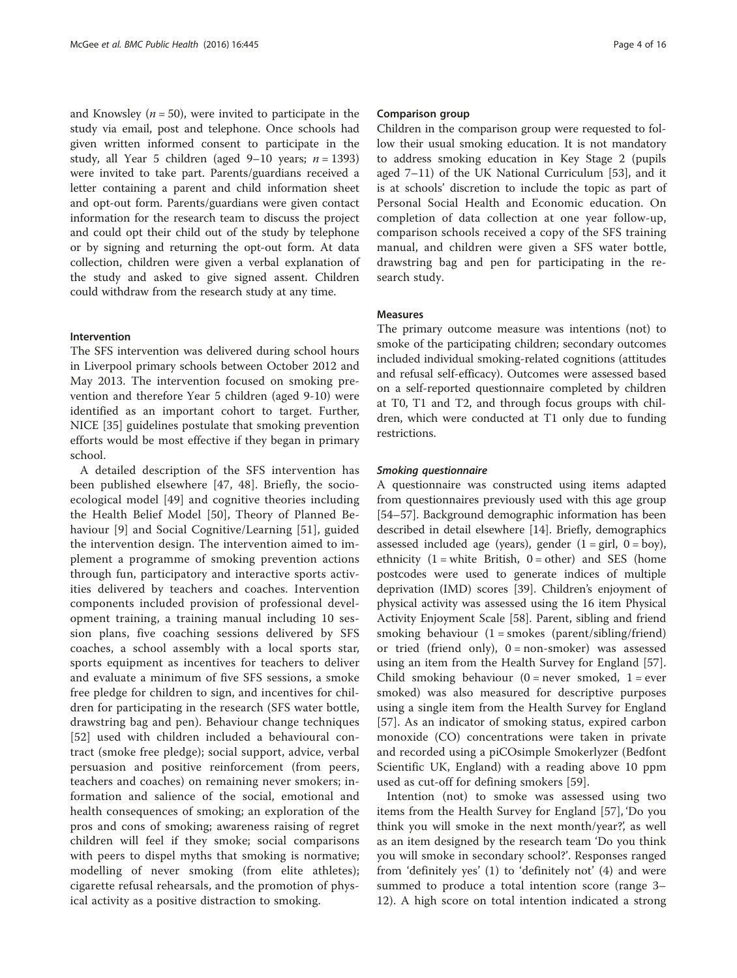and Knowsley ( $n = 50$ ), were invited to participate in the study via email, post and telephone. Once schools had given written informed consent to participate in the study, all Year 5 children (aged 9–10 years;  $n = 1393$ ) were invited to take part. Parents/guardians received a letter containing a parent and child information sheet and opt-out form. Parents/guardians were given contact information for the research team to discuss the project and could opt their child out of the study by telephone or by signing and returning the opt-out form. At data collection, children were given a verbal explanation of the study and asked to give signed assent. Children could withdraw from the research study at any time.

## Intervention

The SFS intervention was delivered during school hours in Liverpool primary schools between October 2012 and May 2013. The intervention focused on smoking prevention and therefore Year 5 children (aged 9-10) were identified as an important cohort to target. Further, NICE [\[35](#page-13-0)] guidelines postulate that smoking prevention efforts would be most effective if they began in primary school.

A detailed description of the SFS intervention has been published elsewhere [[47, 48\]](#page-14-0). Briefly, the socioecological model [\[49\]](#page-14-0) and cognitive theories including the Health Belief Model [\[50\]](#page-14-0), Theory of Planned Behaviour [\[9](#page-13-0)] and Social Cognitive/Learning [[51](#page-14-0)], guided the intervention design. The intervention aimed to implement a programme of smoking prevention actions through fun, participatory and interactive sports activities delivered by teachers and coaches. Intervention components included provision of professional development training, a training manual including 10 session plans, five coaching sessions delivered by SFS coaches, a school assembly with a local sports star, sports equipment as incentives for teachers to deliver and evaluate a minimum of five SFS sessions, a smoke free pledge for children to sign, and incentives for children for participating in the research (SFS water bottle, drawstring bag and pen). Behaviour change techniques [[52](#page-14-0)] used with children included a behavioural contract (smoke free pledge); social support, advice, verbal persuasion and positive reinforcement (from peers, teachers and coaches) on remaining never smokers; information and salience of the social, emotional and health consequences of smoking; an exploration of the pros and cons of smoking; awareness raising of regret children will feel if they smoke; social comparisons with peers to dispel myths that smoking is normative; modelling of never smoking (from elite athletes); cigarette refusal rehearsals, and the promotion of physical activity as a positive distraction to smoking.

#### Comparison group

Children in the comparison group were requested to follow their usual smoking education. It is not mandatory to address smoking education in Key Stage 2 (pupils aged 7–11) of the UK National Curriculum [[53\]](#page-14-0), and it is at schools' discretion to include the topic as part of Personal Social Health and Economic education. On completion of data collection at one year follow-up, comparison schools received a copy of the SFS training manual, and children were given a SFS water bottle, drawstring bag and pen for participating in the research study.

### Measures

The primary outcome measure was intentions (not) to smoke of the participating children; secondary outcomes included individual smoking-related cognitions (attitudes and refusal self-efficacy). Outcomes were assessed based on a self-reported questionnaire completed by children at T0, T1 and T2, and through focus groups with children, which were conducted at T1 only due to funding restrictions.

#### Smoking questionnaire

A questionnaire was constructed using items adapted from questionnaires previously used with this age group [[54](#page-14-0)–[57](#page-14-0)]. Background demographic information has been described in detail elsewhere [[14\]](#page-13-0). Briefly, demographics assessed included age (years), gender  $(1 = \text{girl}, 0 = \text{boy})$ , ethnicity  $(1 = \text{white} \text{ British}, 0 = \text{other})$  and SES (home postcodes were used to generate indices of multiple deprivation (IMD) scores [\[39](#page-14-0)]. Children's enjoyment of physical activity was assessed using the 16 item Physical Activity Enjoyment Scale [[58\]](#page-14-0). Parent, sibling and friend smoking behaviour  $(1 = \text{smokes (parent/sibling/friend)}$ or tried (friend only),  $0 =$  non-smoker) was assessed using an item from the Health Survey for England [\[57](#page-14-0)]. Child smoking behaviour  $(0 =$  never smoked,  $1 =$  ever smoked) was also measured for descriptive purposes using a single item from the Health Survey for England [[57\]](#page-14-0). As an indicator of smoking status, expired carbon monoxide (CO) concentrations were taken in private and recorded using a piCOsimple Smokerlyzer (Bedfont Scientific UK, England) with a reading above 10 ppm used as cut-off for defining smokers [\[59](#page-14-0)].

Intention (not) to smoke was assessed using two items from the Health Survey for England [[57\]](#page-14-0), 'Do you think you will smoke in the next month/year?', as well as an item designed by the research team 'Do you think you will smoke in secondary school?'. Responses ranged from 'definitely yes' (1) to 'definitely not' (4) and were summed to produce a total intention score (range 3– 12). A high score on total intention indicated a strong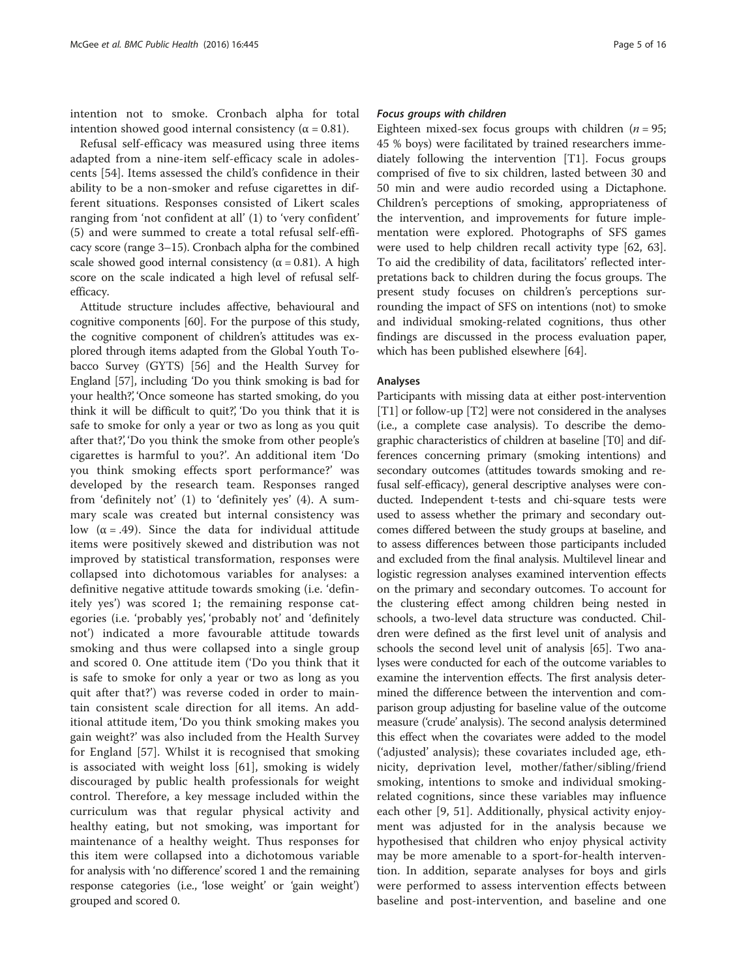intention not to smoke. Cronbach alpha for total intention showed good internal consistency ( $α = 0.81$ ).

Refusal self-efficacy was measured using three items adapted from a nine-item self-efficacy scale in adolescents [[54\]](#page-14-0). Items assessed the child's confidence in their ability to be a non-smoker and refuse cigarettes in different situations. Responses consisted of Likert scales ranging from 'not confident at all' (1) to 'very confident' (5) and were summed to create a total refusal self-efficacy score (range 3–15). Cronbach alpha for the combined scale showed good internal consistency ( $\alpha$  = 0.81). A high score on the scale indicated a high level of refusal selfefficacy.

Attitude structure includes affective, behavioural and cognitive components [[60\]](#page-14-0). For the purpose of this study, the cognitive component of children's attitudes was explored through items adapted from the Global Youth Tobacco Survey (GYTS) [\[56\]](#page-14-0) and the Health Survey for England [[57](#page-14-0)], including 'Do you think smoking is bad for your health?', 'Once someone has started smoking, do you think it will be difficult to quit?', 'Do you think that it is safe to smoke for only a year or two as long as you quit after that?', 'Do you think the smoke from other people's cigarettes is harmful to you?'. An additional item 'Do you think smoking effects sport performance?' was developed by the research team. Responses ranged from 'definitely not' (1) to 'definitely yes' (4). A summary scale was created but internal consistency was low ( $α = .49$ ). Since the data for individual attitude items were positively skewed and distribution was not improved by statistical transformation, responses were collapsed into dichotomous variables for analyses: a definitive negative attitude towards smoking (i.e. 'definitely yes') was scored 1; the remaining response categories (i.e. 'probably yes', 'probably not' and 'definitely not') indicated a more favourable attitude towards smoking and thus were collapsed into a single group and scored 0. One attitude item ('Do you think that it is safe to smoke for only a year or two as long as you quit after that?') was reverse coded in order to maintain consistent scale direction for all items. An additional attitude item, 'Do you think smoking makes you gain weight?' was also included from the Health Survey for England [[57\]](#page-14-0). Whilst it is recognised that smoking is associated with weight loss [[61](#page-14-0)], smoking is widely discouraged by public health professionals for weight control. Therefore, a key message included within the curriculum was that regular physical activity and healthy eating, but not smoking, was important for maintenance of a healthy weight. Thus responses for this item were collapsed into a dichotomous variable for analysis with 'no difference'scored 1 and the remaining response categories (i.e., 'lose weight' or 'gain weight') grouped and scored 0.

#### Focus groups with children

Eighteen mixed-sex focus groups with children ( $n = 95$ ; 45 % boys) were facilitated by trained researchers immediately following the intervention [T1]. Focus groups comprised of five to six children, lasted between 30 and 50 min and were audio recorded using a Dictaphone. Children's perceptions of smoking, appropriateness of the intervention, and improvements for future implementation were explored. Photographs of SFS games were used to help children recall activity type [\[62](#page-14-0), [63](#page-14-0)]. To aid the credibility of data, facilitators' reflected interpretations back to children during the focus groups. The present study focuses on children's perceptions surrounding the impact of SFS on intentions (not) to smoke and individual smoking-related cognitions, thus other findings are discussed in the process evaluation paper, which has been published elsewhere [\[64](#page-14-0)].

#### Analyses

Participants with missing data at either post-intervention [T1] or follow-up [T2] were not considered in the analyses (i.e., a complete case analysis). To describe the demographic characteristics of children at baseline [T0] and differences concerning primary (smoking intentions) and secondary outcomes (attitudes towards smoking and refusal self-efficacy), general descriptive analyses were conducted. Independent t-tests and chi-square tests were used to assess whether the primary and secondary outcomes differed between the study groups at baseline, and to assess differences between those participants included and excluded from the final analysis. Multilevel linear and logistic regression analyses examined intervention effects on the primary and secondary outcomes. To account for the clustering effect among children being nested in schools, a two-level data structure was conducted. Children were defined as the first level unit of analysis and schools the second level unit of analysis [[65](#page-14-0)]. Two analyses were conducted for each of the outcome variables to examine the intervention effects. The first analysis determined the difference between the intervention and comparison group adjusting for baseline value of the outcome measure ('crude' analysis). The second analysis determined this effect when the covariates were added to the model ('adjusted' analysis); these covariates included age, ethnicity, deprivation level, mother/father/sibling/friend smoking, intentions to smoke and individual smokingrelated cognitions, since these variables may influence each other [[9,](#page-13-0) [51\]](#page-14-0). Additionally, physical activity enjoyment was adjusted for in the analysis because we hypothesised that children who enjoy physical activity may be more amenable to a sport-for-health intervention. In addition, separate analyses for boys and girls were performed to assess intervention effects between baseline and post-intervention, and baseline and one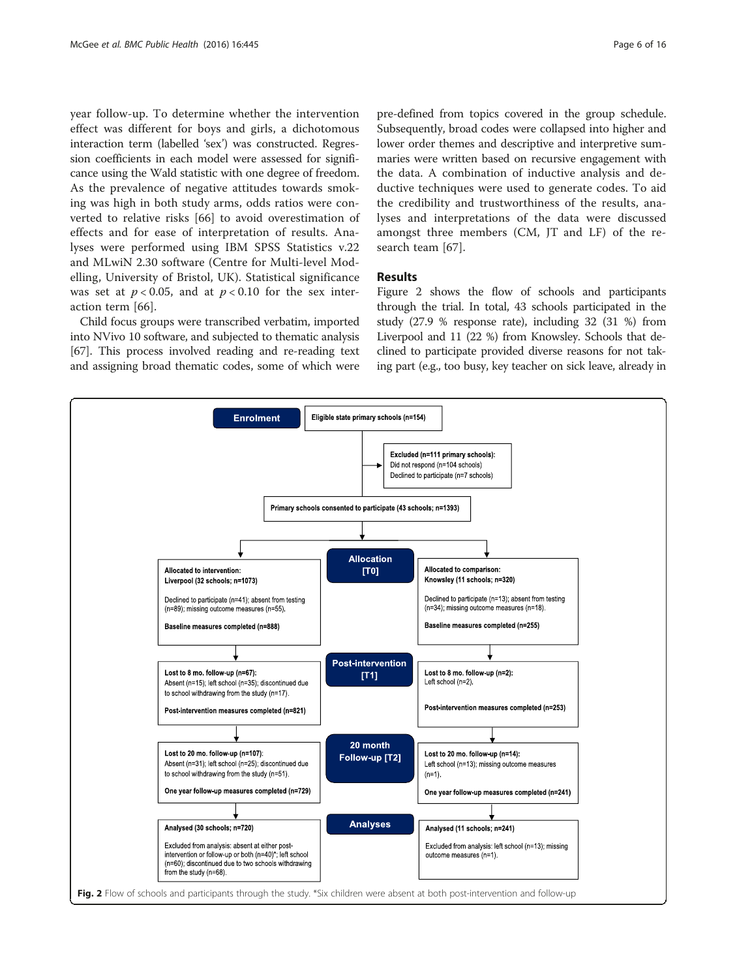year follow-up. To determine whether the intervention effect was different for boys and girls, a dichotomous interaction term (labelled 'sex') was constructed. Regression coefficients in each model were assessed for significance using the Wald statistic with one degree of freedom. As the prevalence of negative attitudes towards smoking was high in both study arms, odds ratios were converted to relative risks [\[66](#page-14-0)] to avoid overestimation of effects and for ease of interpretation of results. Analyses were performed using IBM SPSS Statistics v.22 and MLwiN 2.30 software (Centre for Multi-level Modelling, University of Bristol, UK). Statistical significance was set at  $p < 0.05$ , and at  $p < 0.10$  for the sex interaction term [\[66](#page-14-0)].

Child focus groups were transcribed verbatim, imported into NVivo 10 software, and subjected to thematic analysis [[67](#page-14-0)]. This process involved reading and re-reading text and assigning broad thematic codes, some of which were

pre-defined from topics covered in the group schedule. Subsequently, broad codes were collapsed into higher and lower order themes and descriptive and interpretive summaries were written based on recursive engagement with the data. A combination of inductive analysis and deductive techniques were used to generate codes. To aid the credibility and trustworthiness of the results, analyses and interpretations of the data were discussed amongst three members (CM, JT and LF) of the research team [[67\]](#page-14-0).

## Results

Figure 2 shows the flow of schools and participants through the trial. In total, 43 schools participated in the study (27.9 % response rate), including 32 (31 %) from Liverpool and 11 (22 %) from Knowsley. Schools that declined to participate provided diverse reasons for not taking part (e.g., too busy, key teacher on sick leave, already in

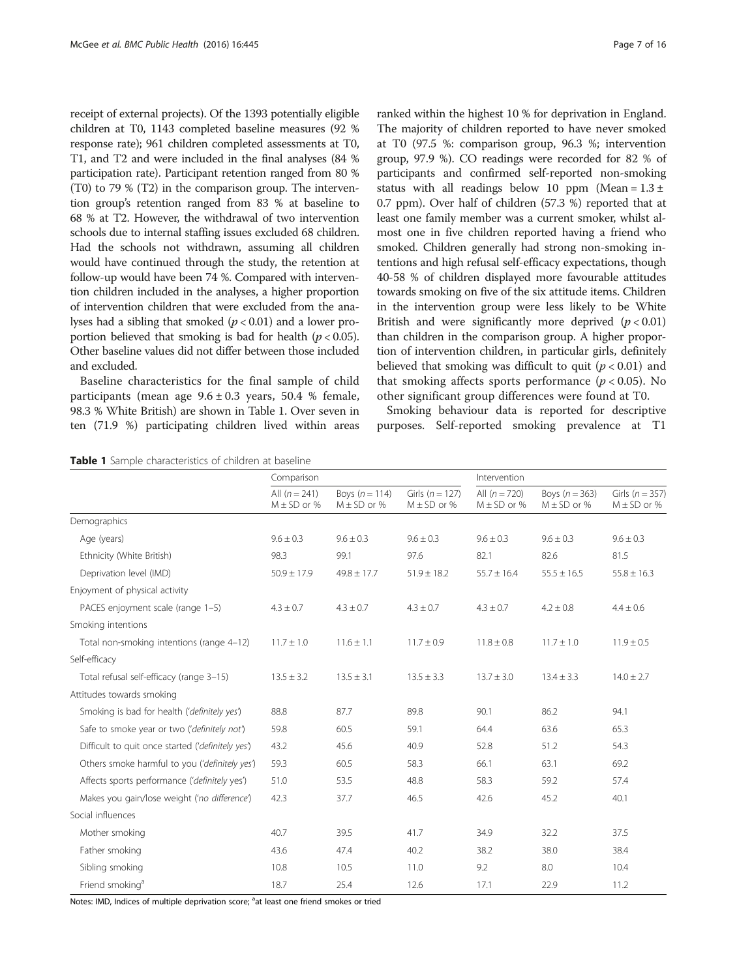receipt of external projects). Of the 1393 potentially eligible children at T0, 1143 completed baseline measures (92 % response rate); 961 children completed assessments at T0, T1, and T2 and were included in the final analyses (84 % participation rate). Participant retention ranged from 80 % (T0) to 79 % (T2) in the comparison group. The intervention group's retention ranged from 83 % at baseline to 68 % at T2. However, the withdrawal of two intervention schools due to internal staffing issues excluded 68 children. Had the schools not withdrawn, assuming all children would have continued through the study, the retention at follow-up would have been 74 %. Compared with intervention children included in the analyses, a higher proportion of intervention children that were excluded from the analyses had a sibling that smoked  $(p < 0.01)$  and a lower proportion believed that smoking is bad for health ( $p < 0.05$ ). Other baseline values did not differ between those included and excluded.

Baseline characteristics for the final sample of child participants (mean age  $9.6 \pm 0.3$  years, 50.4 % female, 98.3 % White British) are shown in Table 1. Over seven in ten (71.9 %) participating children lived within areas

ranked within the highest 10 % for deprivation in England. The majority of children reported to have never smoked at T0 (97.5 %: comparison group, 96.3 %; intervention group, 97.9 %). CO readings were recorded for 82 % of participants and confirmed self-reported non-smoking status with all readings below 10 ppm (Mean =  $1.3 \pm$ 0.7 ppm). Over half of children (57.3 %) reported that at least one family member was a current smoker, whilst almost one in five children reported having a friend who smoked. Children generally had strong non-smoking intentions and high refusal self-efficacy expectations, though 40-58 % of children displayed more favourable attitudes towards smoking on five of the six attitude items. Children in the intervention group were less likely to be White British and were significantly more deprived  $(p < 0.01)$ than children in the comparison group. A higher proportion of intervention children, in particular girls, definitely believed that smoking was difficult to quit ( $p < 0.01$ ) and that smoking affects sports performance ( $p < 0.05$ ). No other significant group differences were found at T0.

Smoking behaviour data is reported for descriptive purposes. Self-reported smoking prevalence at T1

| Table 1 Sample characteristics of children at baseline |  |
|--------------------------------------------------------|--|
|--------------------------------------------------------|--|

|                                                   | Comparison                         |                                     |                                        | Intervention                       |                                     |                                        |  |
|---------------------------------------------------|------------------------------------|-------------------------------------|----------------------------------------|------------------------------------|-------------------------------------|----------------------------------------|--|
|                                                   | All $(n = 241)$<br>$M \pm SD$ or % | Boys $(n = 114)$<br>$M \pm SD$ or % | Girls ( $n = 127$ )<br>$M \pm SD$ or % | All $(n = 720)$<br>$M \pm SD$ or % | Boys $(n = 363)$<br>$M \pm SD$ or % | Girls ( $n = 357$ )<br>$M \pm SD$ or % |  |
| Demographics                                      |                                    |                                     |                                        |                                    |                                     |                                        |  |
| Age (years)                                       | $9.6 \pm 0.3$                      | $9.6 \pm 0.3$                       | $9.6 \pm 0.3$                          | $9.6 \pm 0.3$                      | $9.6 \pm 0.3$                       | $9.6 \pm 0.3$                          |  |
| Ethnicity (White British)                         | 98.3                               | 99.1                                | 97.6                                   | 82.1                               | 82.6                                | 81.5                                   |  |
| Deprivation level (IMD)                           | $50.9 \pm 17.9$                    | $49.8 \pm 17.7$                     | $51.9 \pm 18.2$                        | $55.7 \pm 16.4$                    | $55.5 \pm 16.5$                     | $55.8 \pm 16.3$                        |  |
| Enjoyment of physical activity                    |                                    |                                     |                                        |                                    |                                     |                                        |  |
| PACES enjoyment scale (range 1-5)                 | $4.3 \pm 0.7$                      | $4.3 \pm 0.7$                       | $4.3 \pm 0.7$                          | $4.3 \pm 0.7$                      | $4.2 \pm 0.8$                       | $4.4 \pm 0.6$                          |  |
| Smoking intentions                                |                                    |                                     |                                        |                                    |                                     |                                        |  |
| Total non-smoking intentions (range 4-12)         | $11.7 \pm 1.0$                     | $11.6 \pm 1.1$                      | $11.7 \pm 0.9$                         | $11.8 \pm 0.8$                     | $11.7 \pm 1.0$                      | $11.9 \pm 0.5$                         |  |
| Self-efficacy                                     |                                    |                                     |                                        |                                    |                                     |                                        |  |
| Total refusal self-efficacy (range 3-15)          | $13.5 \pm 3.2$                     | $13.5 \pm 3.1$                      | $13.5 \pm 3.3$                         | $13.7 \pm 3.0$                     | $13.4 \pm 3.3$                      | $14.0 \pm 2.7$                         |  |
| Attitudes towards smoking                         |                                    |                                     |                                        |                                    |                                     |                                        |  |
| Smoking is bad for health ('definitely yes')      | 88.8                               | 87.7                                | 89.8                                   | 90.1                               | 86.2                                | 94.1                                   |  |
| Safe to smoke year or two ('definitely not')      | 59.8                               | 60.5                                | 59.1                                   | 64.4                               | 63.6                                | 65.3                                   |  |
| Difficult to quit once started ('definitely yes') | 43.2                               | 45.6                                | 40.9                                   | 52.8                               | 51.2                                | 54.3                                   |  |
| Others smoke harmful to you ('definitely yes')    | 59.3                               | 60.5                                | 58.3                                   | 66.1                               | 63.1                                | 69.2                                   |  |
| Affects sports performance ('definitely yes')     | 51.0                               | 53.5                                | 48.8                                   | 58.3                               | 59.2                                | 57.4                                   |  |
| Makes you gain/lose weight ('no difference')      | 42.3                               | 37.7                                | 46.5                                   | 42.6                               | 45.2                                | 40.1                                   |  |
| Social influences                                 |                                    |                                     |                                        |                                    |                                     |                                        |  |
| Mother smoking                                    | 40.7                               | 39.5                                | 41.7                                   | 34.9                               | 32.2                                | 37.5                                   |  |
| Father smoking                                    | 43.6                               | 47.4                                | 40.2                                   | 38.2                               | 38.0                                | 38.4                                   |  |
| Sibling smoking                                   | 10.8                               | 10.5                                | 11.0                                   | 9.2                                | 8.0                                 | 10.4                                   |  |
| Friend smoking <sup>a</sup>                       | 18.7                               | 25.4                                | 12.6                                   | 17.1                               | 22.9                                | 11.2                                   |  |

Notes: IMD, Indices of multiple deprivation score; <sup>a</sup>at least one friend smokes or tried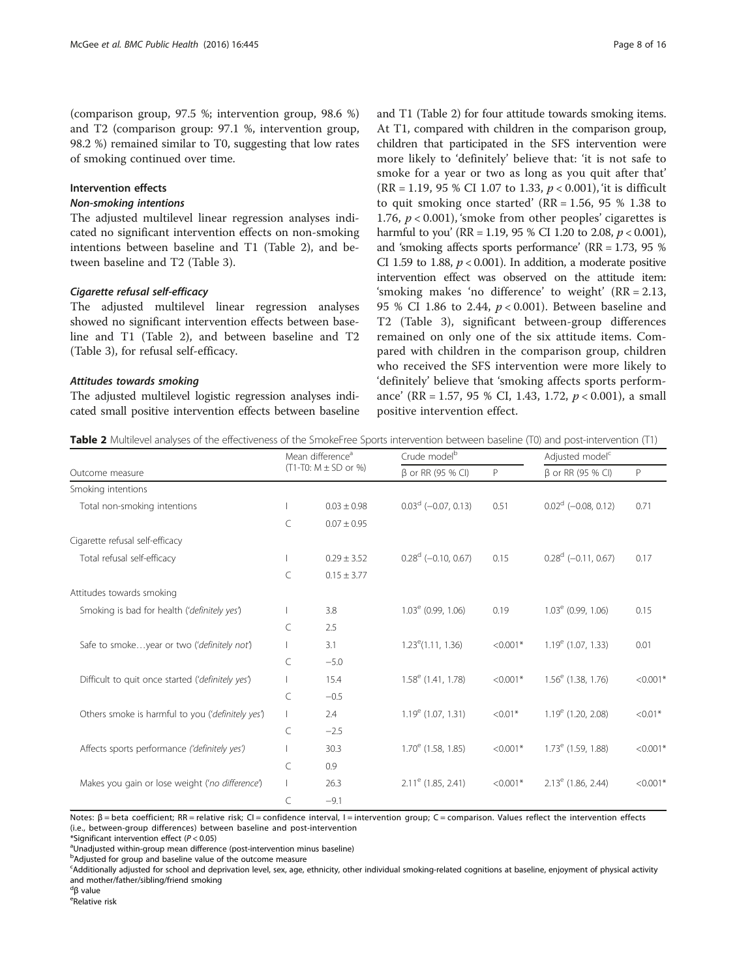(comparison group, 97.5 %; intervention group, 98.6 %) and T2 (comparison group: 97.1 %, intervention group, 98.2 %) remained similar to T0, suggesting that low rates of smoking continued over time.

#### Intervention effects

## Non-smoking intentions

The adjusted multilevel linear regression analyses indicated no significant intervention effects on non-smoking intentions between baseline and T1 (Table 2), and between baseline and T2 (Table [3](#page-8-0)).

#### Cigarette refusal self-efficacy

The adjusted multilevel linear regression analyses showed no significant intervention effects between baseline and T1 (Table 2), and between baseline and T2 (Table [3\)](#page-8-0), for refusal self-efficacy.

### Attitudes towards smoking

The adjusted multilevel logistic regression analyses indicated small positive intervention effects between baseline and T1 (Table 2) for four attitude towards smoking items. At T1, compared with children in the comparison group, children that participated in the SFS intervention were more likely to 'definitely' believe that: 'it is not safe to smoke for a year or two as long as you quit after that' (RR = 1.19, 95 % CI 1.07 to 1.33,  $p < 0.001$ ), 'it is difficult to quit smoking once started'  $(RR = 1.56, 95 % 1.38$  to 1.76,  $p < 0.001$ ), 'smoke from other peoples' cigarettes is harmful to you' (RR = 1.19, 95 % CI 1.20 to 2.08,  $p < 0.001$ ), and 'smoking affects sports performance' (RR = 1.73, 95 % CI 1.59 to 1.88,  $p < 0.001$ ). In addition, a moderate positive intervention effect was observed on the attitude item: 'smoking makes 'no difference' to weight' (RR = 2.13, 95 % CI 1.86 to 2.44,  $p < 0.001$ ). Between baseline and T2 (Table [3\)](#page-8-0), significant between-group differences remained on only one of the six attitude items. Compared with children in the comparison group, children who received the SFS intervention were more likely to 'definitely' believe that 'smoking affects sports performance' (RR = 1.57, 95 % CI, 1.43, 1.72,  $p < 0.001$ ), a small positive intervention effect.

**Table 2** Multilevel analyses of the effectiveness of the SmokeFree Sports intervention between baseline (T0) and post-intervention (T1)

|                                                   |                            | Mean difference <sup>a</sup> | Crude model <sup>b</sup>   |            | Adjusted model <sup>c</sup> |            |  |
|---------------------------------------------------|----------------------------|------------------------------|----------------------------|------------|-----------------------------|------------|--|
| Outcome measure                                   | $(T1-T0: M \pm SD or \% )$ |                              | $\beta$ or RR (95 % CI)    | P          | $\beta$ or RR (95 % CI)     | P          |  |
| Smoking intentions                                |                            |                              |                            |            |                             |            |  |
| Total non-smoking intentions                      |                            | $0.03 \pm 0.98$              | $0.03^d$ (-0.07, 0.13)     | 0.51       | $0.02d$ (-0.08, 0.12)       | 0.71       |  |
|                                                   | C                          | $0.07 \pm 0.95$              |                            |            |                             |            |  |
| Cigarette refusal self-efficacy                   |                            |                              |                            |            |                             |            |  |
| Total refusal self-efficacy                       |                            | $0.29 \pm 3.52$              | $0.28d$ (-0.10, 0.67)      | 0.15       | $0.28^d$ (-0.11, 0.67)      | 0.17       |  |
|                                                   | C                          | $0.15 \pm 3.77$              |                            |            |                             |            |  |
| Attitudes towards smoking                         |                            |                              |                            |            |                             |            |  |
| Smoking is bad for health ('definitely yes')      |                            | 3.8                          | $1.03^e$ (0.99, 1.06)      | 0.19       | $1.03^e$ (0.99, 1.06)       | 0.15       |  |
|                                                   | C                          | 2.5                          |                            |            |                             |            |  |
| Safe to smokeyear or two ('definitely not')       |                            | 3.1                          | $1.23^{\circ}(1.11, 1.36)$ | $< 0.001*$ | $1.19^e$ (1.07, 1.33)       | 0.01       |  |
|                                                   | C                          | $-5.0$                       |                            |            |                             |            |  |
| Difficult to quit once started ('definitely yes') |                            | 15.4                         | $1.58^e$ (1.41, 1.78)      | $< 0.001*$ | $1.56^e$ (1.38, 1.76)       | $< 0.001*$ |  |
|                                                   | C                          | $-0.5$                       |                            |            |                             |            |  |
| Others smoke is harmful to you ('definitely yes') |                            | 2.4                          | $1.19^e$ (1.07, 1.31)      | $< 0.01*$  | $1.19^e$ (1.20, 2.08)       | $< 0.01*$  |  |
|                                                   | C                          | $-2.5$                       |                            |            |                             |            |  |
| Affects sports performance ('definitely yes')     |                            | 30.3                         | $1.70^e$ (1.58, 1.85)      | $< 0.001*$ | $1.73^e$ (1.59, 1.88)       | $< 0.001*$ |  |
|                                                   | C                          | 0.9                          |                            |            |                             |            |  |
| Makes you gain or lose weight ('no difference')   |                            | 26.3                         | $2.11^e$ (1.85, 2.41)      | $< 0.001*$ | $2.13^e$ (1.86, 2.44)       | $< 0.001*$ |  |
|                                                   | C                          | $-9.1$                       |                            |            |                             |            |  |

Notes: β = beta coefficient; RR = relative risk; CI = confidence interval, I = intervention group; C = comparison. Values reflect the intervention effects (i.e., between-group differences) between baseline and post-intervention

\*Significant intervention effect  $(P < 0.05)$ 

<sup>a</sup>Unadjusted within-group mean difference (post-intervention minus baseline)

<sup>b</sup>Adjusted for group and baseline value of the outcome measure

c Additionally adjusted for school and deprivation level, sex, age, ethnicity, other individual smoking-related cognitions at baseline, enjoyment of physical activity and mother/father/sibling/friend smoking

<sup>d</sup>β value<br><sup>e</sup>Relative

Relative risk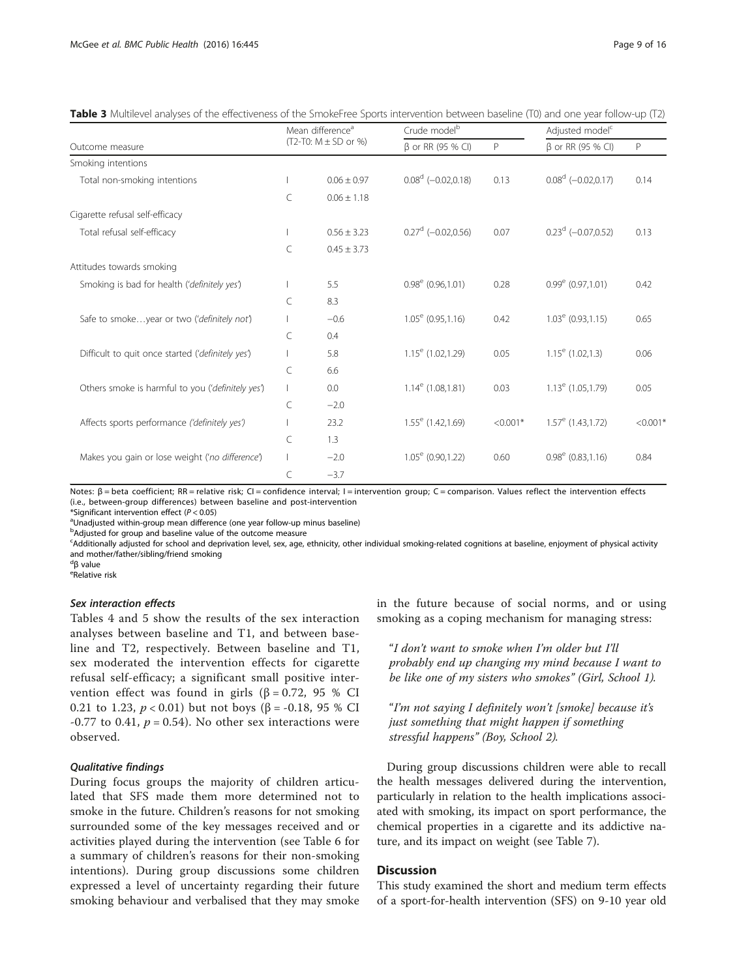<span id="page-8-0"></span>

| Table 3 Multilevel analyses of the effectiveness of the SmokeFree Sports intervention between baseline (T0) and one year follow-up (T2) |  |
|-----------------------------------------------------------------------------------------------------------------------------------------|--|
|                                                                                                                                         |  |

|                                                   | Mean difference <sup>a</sup><br>$(T2-T0: M \pm SD$ or %) |                 | Crude model <sup>b</sup>        |              | Adjusted model <sup>c</sup>     |            |  |
|---------------------------------------------------|----------------------------------------------------------|-----------------|---------------------------------|--------------|---------------------------------|------------|--|
| Outcome measure                                   |                                                          |                 | $\beta$ or RR (95 % CI)         | $\mathsf{P}$ | $\beta$ or RR (95 % CI)         | P          |  |
| Smoking intentions                                |                                                          |                 |                                 |              |                                 |            |  |
| Total non-smoking intentions                      |                                                          | $0.06 \pm 0.97$ | $0.08d$ (-0.02,0.18)            | 0.13         | $0.08d$ (-0.02,0.17)            | 0.14       |  |
|                                                   | C                                                        | $0.06 \pm 1.18$ |                                 |              |                                 |            |  |
| Cigarette refusal self-efficacy                   |                                                          |                 |                                 |              |                                 |            |  |
| Total refusal self-efficacy                       |                                                          | $0.56 \pm 3.23$ | $0.27d$ (-0.02,0.56)            | 0.07         | $0.23d$ (-0.07,0.52)            | 0.13       |  |
|                                                   | $\subset$                                                | $0.45 \pm 3.73$ |                                 |              |                                 |            |  |
| Attitudes towards smoking                         |                                                          |                 |                                 |              |                                 |            |  |
| Smoking is bad for health ('definitely yes')      |                                                          | 5.5             | $0.98^{\mathrm{e}}$ (0.96,1.01) | 0.28         | $0.99^{\mathrm{e}}$ (0.97,1.01) | 0.42       |  |
|                                                   | C                                                        | 8.3             |                                 |              |                                 |            |  |
| Safe to smokeyear or two ('definitely not')       |                                                          | $-0.6$          | $1.05^e$ (0.95,1.16)            | 0.42         | $1.03^{\circ}$ (0.93,1.15)      | 0.65       |  |
|                                                   | C                                                        | 0.4             |                                 |              |                                 |            |  |
| Difficult to quit once started ('definitely yes') |                                                          | 5.8             | $1.15^{\circ}$ (1.02,1.29)      | 0.05         | $1.15^{\circ}$ (1.02,1.3)       | 0.06       |  |
|                                                   | C                                                        | 6.6             |                                 |              |                                 |            |  |
| Others smoke is harmful to you ('definitely yes') |                                                          | 0.0             | $1.14^e$ (1.08,1.81)            | 0.03         | $1.13^e$ (1.05,1.79)            | 0.05       |  |
|                                                   | C                                                        | $-2.0$          |                                 |              |                                 |            |  |
| Affects sports performance ('definitely yes')     |                                                          | 23.2            | $1.55^e$ (1.42,1.69)            | $< 0.001*$   | $1.57^e$ (1.43,1.72)            | $< 0.001*$ |  |
|                                                   | C                                                        | 1.3             |                                 |              |                                 |            |  |
| Makes you gain or lose weight ('no difference')   |                                                          | $-2.0$          | $1.05^{\mathrm{e}}$ (0.90,1.22) | 0.60         | $0.98^{\mathrm{e}}$ (0.83,1.16) | 0.84       |  |
|                                                   | C                                                        | $-3.7$          |                                 |              |                                 |            |  |

Notes: β = beta coefficient; RR = relative risk; CI = confidence interval; I = intervention group; C = comparison. Values reflect the intervention effects (i.e., between-group differences) between baseline and post-intervention

\*Significant intervention effect  $(P < 0.05)$ 

Unadjusted within-group mean difference (one year follow-up minus baseline)

<sup>b</sup>Adjusted for group and baseline value of the outcome measure

c Additionally adjusted for school and deprivation level, sex, age, ethnicity, other individual smoking-related cognitions at baseline, enjoyment of physical activity and mother/father/sibling/friend smoking

<sup>d</sup>β value<br><sup>e</sup>Relative

Relative risk

## Sex interaction effects

Tables [4](#page-9-0) and [5](#page-10-0) show the results of the sex interaction analyses between baseline and T1, and between baseline and T2, respectively. Between baseline and T1, sex moderated the intervention effects for cigarette refusal self-efficacy; a significant small positive intervention effect was found in girls ( $β = 0.72$ , 95 % CI 0.21 to 1.23,  $p < 0.01$ ) but not boys (β = -0.18, 95 % CI -0.77 to 0.41,  $p = 0.54$ ). No other sex interactions were observed.

## Qualitative findings

During focus groups the majority of children articulated that SFS made them more determined not to smoke in the future. Children's reasons for not smoking surrounded some of the key messages received and or activities played during the intervention (see Table [6](#page-10-0) for a summary of children's reasons for their non-smoking intentions). During group discussions some children expressed a level of uncertainty regarding their future smoking behaviour and verbalised that they may smoke in the future because of social norms, and or using smoking as a coping mechanism for managing stress:

"I don't want to smoke when I'm older but I'll probably end up changing my mind because I want to be like one of my sisters who smokes" (Girl, School 1).

"I'm not saying I definitely won't [smoke] because it's just something that might happen if something stressful happens" (Boy, School 2).

During group discussions children were able to recall the health messages delivered during the intervention, particularly in relation to the health implications associated with smoking, its impact on sport performance, the chemical properties in a cigarette and its addictive nature, and its impact on weight (see Table [7](#page-11-0)).

## **Discussion**

This study examined the short and medium term effects of a sport-for-health intervention (SFS) on 9-10 year old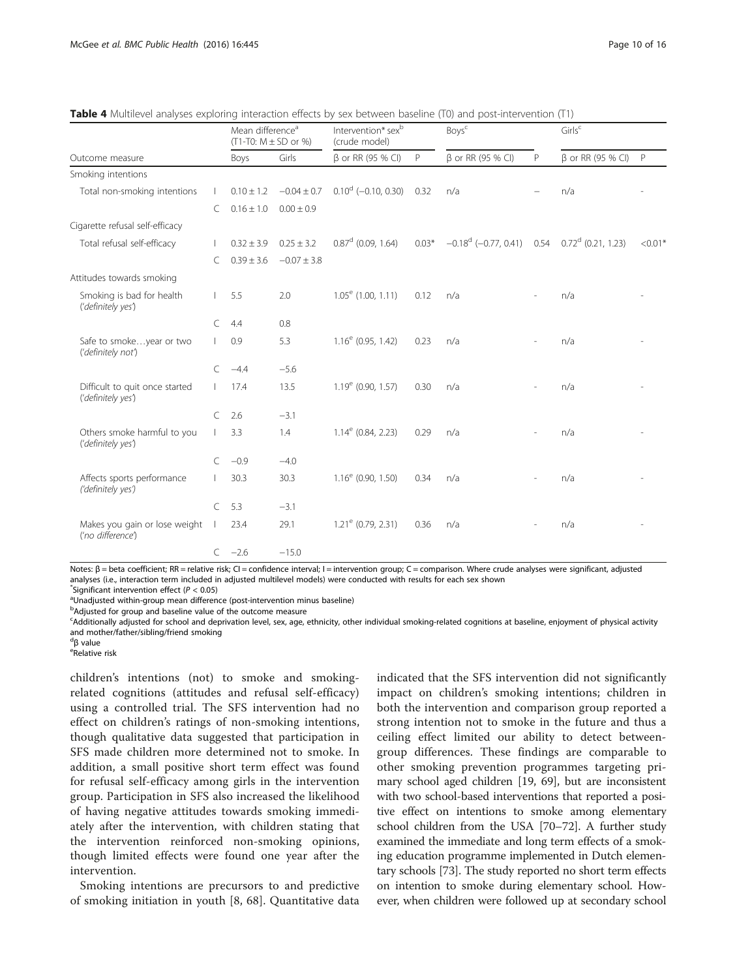<span id="page-9-0"></span>Table 4 Multilevel analyses exploring interaction effects by sex between baseline (T0) and post-intervention (T1)

|                                                      |                | Mean difference <sup>a</sup><br>$(T1-T0: M \pm SD$ or %) |                 | Intervention* sex <sup>b</sup><br>(crude model) |         | <b>Boys</b> <sup>c</sup>                                    |                | Girls <sup>c</sup>      |           |
|------------------------------------------------------|----------------|----------------------------------------------------------|-----------------|-------------------------------------------------|---------|-------------------------------------------------------------|----------------|-------------------------|-----------|
| Outcome measure                                      |                | Boys                                                     | Girls           | $\beta$ or RR (95 % CI)                         | P       | $\beta$ or RR (95 % CI)                                     | P              | $\beta$ or RR (95 % CI) | P         |
| Smoking intentions                                   |                |                                                          |                 |                                                 |         |                                                             |                |                         |           |
| Total non-smoking intentions                         |                | $0.10 \pm 1.2$                                           | $-0.04 \pm 0.7$ | $0.10^d$ (-0.10, 0.30)                          | 0.32    | n/a                                                         |                | n/a                     |           |
|                                                      | C              | $0.16 \pm 1.0$                                           | $0.00 \pm 0.9$  |                                                 |         |                                                             |                |                         |           |
| Cigarette refusal self-efficacy                      |                |                                                          |                 |                                                 |         |                                                             |                |                         |           |
| Total refusal self-efficacy                          |                | $0.32 \pm 3.9$                                           | $0.25 \pm 3.2$  | $0.87d$ (0.09, 1.64)                            | $0.03*$ | $-0.18^d$ (-0.77, 0.41) 0.54 0.72 <sup>d</sup> (0.21, 1.23) |                |                         | $< 0.01*$ |
|                                                      | C              | $0.39 \pm 3.6$                                           | $-0.07 \pm 3.8$ |                                                 |         |                                                             |                |                         |           |
| Attitudes towards smoking                            |                |                                                          |                 |                                                 |         |                                                             |                |                         |           |
| Smoking is bad for health<br>('definitely yes')      | $\mathbf{I}$   | 5.5                                                      | 2.0             | $1.05^{\circ}$ (1.00, 1.11)                     | 0.12    | n/a                                                         |                | n/a                     |           |
|                                                      | C              | 4.4                                                      | 0.8             |                                                 |         |                                                             |                |                         |           |
| Safe to smokeyear or two<br>('definitely not')       |                | 0.9                                                      | 5.3             | $1.16^e$ (0.95, 1.42)                           | 0.23    | n/a                                                         |                | n/a                     |           |
|                                                      | $\mathsf{C}$   | $-4.4$                                                   | $-5.6$          |                                                 |         |                                                             |                |                         |           |
| Difficult to quit once started<br>('definitely yes') | $\mathbf{L}$   | 17.4                                                     | 13.5            | $1.19^e$ (0.90, 1.57)                           | 0.30    | n/a                                                         | $\overline{a}$ | n/a                     |           |
|                                                      | $\mathsf{C}$   | 2.6                                                      | $-3.1$          |                                                 |         |                                                             |                |                         |           |
| Others smoke harmful to you<br>('definitely yes')    | $\overline{1}$ | 3.3                                                      | 1.4             | $1.14^e$ (0.84, 2.23)                           | 0.29    | n/a                                                         | Ĭ.             | n/a                     |           |
|                                                      | $\mathsf{C}$   | $-0.9$                                                   | $-4.0$          |                                                 |         |                                                             |                |                         |           |
| Affects sports performance<br>('definitely yes')     |                | 30.3                                                     | 30.3            | $1.16^{\mathrm{e}}$ (0.90, 1.50)                | 0.34    | n/a                                                         |                | n/a                     |           |
|                                                      | C              | 5.3                                                      | $-3.1$          |                                                 |         |                                                             |                |                         |           |
| Makes you gain or lose weight<br>('no difference')   | $\perp$        | 23.4                                                     | 29.1            | $1.21^e$ (0.79, 2.31)                           | 0.36    | n/a                                                         |                | n/a                     |           |
|                                                      | $\subset$      | $-2.6$                                                   | $-15.0$         |                                                 |         |                                                             |                |                         |           |

Notes: β = beta coefficient; RR = relative risk; CI = confidence interval; I = intervention group; C = comparison. Where crude analyses were significant, adjusted analyses (i.e., interaction term included in adjusted multilevel models) were conducted with results for each sex shown

\*Significant intervention effect ( $P < 0.05$ )

aUnadjusted within-group mean difference (post-intervention minus baseline)

<sup>b</sup>Adjusted for group and baseline value of the outcome measure

c Additionally adjusted for school and deprivation level, sex, age, ethnicity, other individual smoking-related cognitions at baseline, enjoyment of physical activity and mother/father/sibling/friend smoking

<sup>d</sup>β value<br><sup>e</sup>Relative

Relative risk

children's intentions (not) to smoke and smokingrelated cognitions (attitudes and refusal self-efficacy) using a controlled trial. The SFS intervention had no effect on children's ratings of non-smoking intentions, though qualitative data suggested that participation in SFS made children more determined not to smoke. In addition, a small positive short term effect was found for refusal self-efficacy among girls in the intervention group. Participation in SFS also increased the likelihood of having negative attitudes towards smoking immediately after the intervention, with children stating that the intervention reinforced non-smoking opinions, though limited effects were found one year after the intervention.

Smoking intentions are precursors to and predictive of smoking initiation in youth [[8,](#page-13-0) [68](#page-14-0)]. Quantitative data

indicated that the SFS intervention did not significantly impact on children's smoking intentions; children in both the intervention and comparison group reported a strong intention not to smoke in the future and thus a ceiling effect limited our ability to detect betweengroup differences. These findings are comparable to other smoking prevention programmes targeting primary school aged children [[19](#page-13-0), [69](#page-14-0)], but are inconsistent with two school-based interventions that reported a positive effect on intentions to smoke among elementary school children from the USA [\[70](#page-14-0)–[72](#page-14-0)]. A further study examined the immediate and long term effects of a smoking education programme implemented in Dutch elementary schools [[73\]](#page-14-0). The study reported no short term effects on intention to smoke during elementary school. However, when children were followed up at secondary school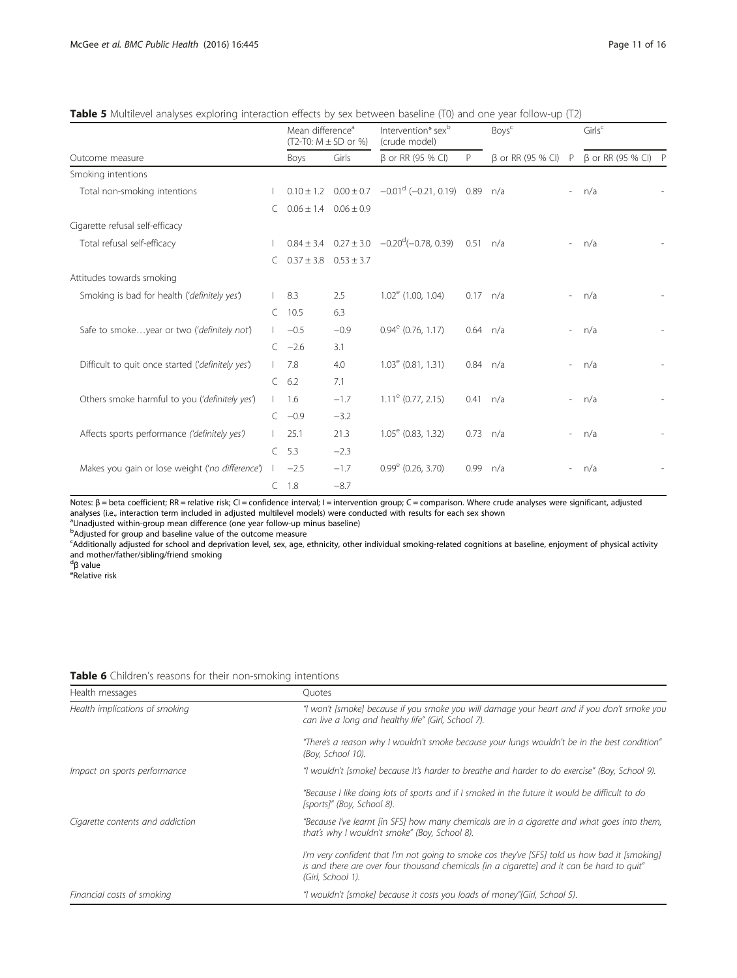<span id="page-10-0"></span>Table 5 Multilevel analyses exploring interaction effects by sex between baseline (T0) and one year follow-up (T2)

| Outcome measure                                   |           | Mean difference <sup>a</sup><br>$(T2-T0: M \pm SD$ or %) |        | Intervention* sex <sup>b</sup><br>(crude model)                |            | <b>Boys</b> <sup>c</sup> |                          | Girls <sup>c</sup>        |  |
|---------------------------------------------------|-----------|----------------------------------------------------------|--------|----------------------------------------------------------------|------------|--------------------------|--------------------------|---------------------------|--|
|                                                   |           | Boys                                                     | Girls  | $\beta$ or RR (95 % CI)                                        | P.         | β or RR (95 % Cl) P      |                          | $\beta$ or RR (95 % CI) P |  |
| Smoking intentions                                |           |                                                          |        |                                                                |            |                          |                          |                           |  |
| Total non-smoking intentions                      |           |                                                          |        | $0.10 \pm 1.2$ $0.00 \pm 0.7$ $-0.01^d$ (-0.21, 0.19) 0.89 n/a |            |                          | $\overline{\phantom{a}}$ | n/a                       |  |
|                                                   | C         | $0.06 \pm 1.4$ $0.06 \pm 0.9$                            |        |                                                                |            |                          |                          |                           |  |
| Cigarette refusal self-efficacy                   |           |                                                          |        |                                                                |            |                          |                          |                           |  |
| Total refusal self-efficacy                       |           |                                                          |        | $0.84 \pm 3.4$ $0.27 \pm 3.0$ $-0.20^{\circ}(-0.78, 0.39)$     | 0.51 n/a   |                          |                          | n/a                       |  |
|                                                   | C         | $0.37 \pm 3.8$ $0.53 \pm 3.7$                            |        |                                                                |            |                          |                          |                           |  |
| Attitudes towards smoking                         |           |                                                          |        |                                                                |            |                          |                          |                           |  |
| Smoking is bad for health ('definitely yes')      |           | 8.3                                                      | 2.5    | $1.02^e$ (1.00, 1.04)                                          | 0.17       | n/a                      |                          | n/a                       |  |
|                                                   | $\subset$ | 10.5                                                     | 6.3    |                                                                |            |                          |                          |                           |  |
| Safe to smokeyear or two ('definitely not')       |           | $-0.5$                                                   | $-0.9$ | $0.94^{\circ}$ (0.76, 1.17)                                    | $0.64$ n/a |                          | $\overline{\phantom{a}}$ | n/a                       |  |
|                                                   |           | $C -2.6$                                                 | 3.1    |                                                                |            |                          |                          |                           |  |
| Difficult to quit once started ('definitely yes') |           | 7.8                                                      | 4.0    | $1.03^e$ (0.81, 1.31)                                          | $0.84$ n/a |                          |                          | n/a                       |  |
|                                                   | C         | 6.2                                                      | 7.1    |                                                                |            |                          |                          |                           |  |
| Others smoke harmful to you ('definitely yes')    |           | 1.6                                                      | $-1.7$ | $1.11^{\circ}$ (0.77, 2.15)                                    | 0.41 n/a   |                          | $\overline{\phantom{a}}$ | n/a                       |  |
|                                                   |           | $C -0.9$                                                 | $-3.2$ |                                                                |            |                          |                          |                           |  |
| Affects sports performance ('definitely yes')     |           | 25.1                                                     | 21.3   | $1.05^{\circ}$ (0.83, 1.32)                                    | 0.73       | n/a                      |                          | n/a                       |  |
|                                                   | C         | 5.3                                                      | $-2.3$ |                                                                |            |                          |                          |                           |  |
| Makes you gain or lose weight ('no difference')   |           | $-2.5$                                                   | $-1.7$ | $0.99^{\mathrm{e}}$ (0.26, 3.70)                               | 0.99       | n/a                      | $\overline{\phantom{a}}$ | n/a                       |  |
|                                                   | C         | 1.8                                                      | $-8.7$ |                                                                |            |                          |                          |                           |  |

Notes: β = beta coefficient; RR = relative risk; CI = confidence interval; I = intervention group; C = comparison. Where crude analyses were significant, adjusted analyses (i.e., interaction term included in adjusted multilevel models) were conducted with results for each sex shown

<sup>a</sup>Unadjusted within-group mean difference (one year follow-up minus baseline)<br><sup>b</sup>Adjusted for group and baseline value of the outcome measure

c Additionally adjusted for school and deprivation level, sex, age, ethnicity, other individual smoking-related cognitions at baseline, enjoyment of physical activity and mother/father/sibling/friend smoking

<sup>d</sup>β value<br><sup>e</sup>Relative

Relative risk

| Table 6 Children's reasons for their non-smoking intentions |  |  |  |
|-------------------------------------------------------------|--|--|--|
|-------------------------------------------------------------|--|--|--|

| Health messages                  | <b>Ouotes</b>                                                                                                                                                                                                    |
|----------------------------------|------------------------------------------------------------------------------------------------------------------------------------------------------------------------------------------------------------------|
| Health implications of smoking   | "I won't [smoke] because if you smoke you will damage your heart and if you don't smoke you<br>can live a long and healthy life" (Girl, School 7).                                                               |
|                                  | "There's a reason why I wouldn't smoke because your lungs wouldn't be in the best condition"<br>(Boy, School 10).                                                                                                |
| Impact on sports performance     | "I wouldn't [smoke] because It's harder to breathe and harder to do exercise" (Boy, School 9).                                                                                                                   |
|                                  | "Because I like doing lots of sports and if I smoked in the future it would be difficult to do<br>[sports]" (Boy, School 8).                                                                                     |
| Cigarette contents and addiction | "Because I've learnt [in SFS] how many chemicals are in a cigarette and what goes into them,<br>that's why I wouldn't smoke" (Boy, School 8).                                                                    |
|                                  | I'm very confident that I'm not going to smoke cos they've [SFS] told us how bad it [smoking]<br>is and there are over four thousand chemicals [in a cigarette] and it can be hard to quit"<br>(Girl, School 1). |
| Financial costs of smoking       | "I wouldn't [smoke] because it costs you loads of money"(Girl, School 5).                                                                                                                                        |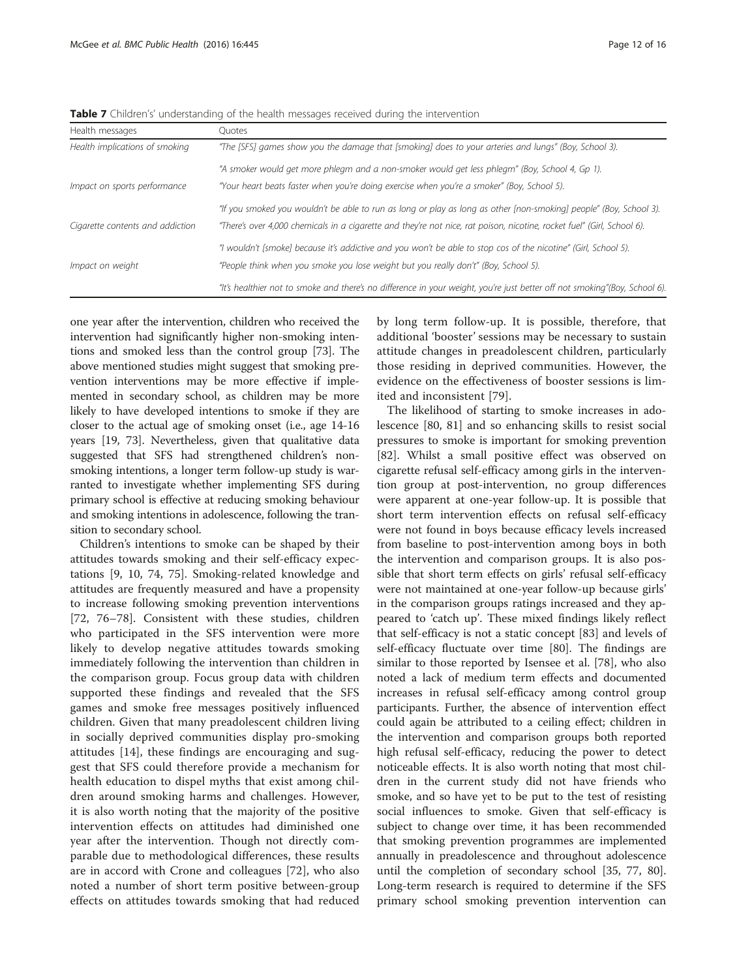<span id="page-11-0"></span>

|  |  |  | <b>Table 7</b> Children's' understanding of the health messages received during the intervention |
|--|--|--|--------------------------------------------------------------------------------------------------|
|  |  |  |                                                                                                  |

| Health messages                  | <b>Ouotes</b>                                                                                                                                                                                                                                 |
|----------------------------------|-----------------------------------------------------------------------------------------------------------------------------------------------------------------------------------------------------------------------------------------------|
| Health implications of smoking   | "The [SFS] games show you the damage that [smoking] does to your arteries and lungs" (Boy, School 3).                                                                                                                                         |
|                                  | "A smoker would get more phlegm and a non-smoker would get less phlegm" (Boy, School 4, Gp 1).                                                                                                                                                |
| Impact on sports performance     | "Your heart beats faster when you're doing exercise when you're a smoker" (Boy, School 5).                                                                                                                                                    |
| Cigarette contents and addiction | "If you smoked you wouldn't be able to run as long or play as long as other [non-smoking] people" (Boy, School 3).<br>"There's over 4,000 chemicals in a cigarette and they're not nice, rat poison, nicotine, rocket fuel" (Girl, School 6). |
| Impact on weight                 | "I wouldn't [smoke] because it's addictive and you won't be able to stop cos of the nicotine" (Girl, School 5).<br>"People think when you smoke you lose weight but you really don't" (Boy, School 5).                                        |
|                                  | "It's healthier not to smoke and there's no difference in your weight, you're just better off not smoking"(Boy, School 6).                                                                                                                    |

one year after the intervention, children who received the intervention had significantly higher non-smoking intentions and smoked less than the control group [[73](#page-14-0)]. The above mentioned studies might suggest that smoking prevention interventions may be more effective if implemented in secondary school, as children may be more likely to have developed intentions to smoke if they are closer to the actual age of smoking onset (i.e., age 14-16 years [\[19,](#page-13-0) [73\]](#page-14-0). Nevertheless, given that qualitative data suggested that SFS had strengthened children's nonsmoking intentions, a longer term follow-up study is warranted to investigate whether implementing SFS during primary school is effective at reducing smoking behaviour and smoking intentions in adolescence, following the transition to secondary school.

Children's intentions to smoke can be shaped by their attitudes towards smoking and their self-efficacy expectations [[9, 10](#page-13-0), [74, 75](#page-14-0)]. Smoking-related knowledge and attitudes are frequently measured and have a propensity to increase following smoking prevention interventions [[72, 76](#page-14-0)–[78](#page-14-0)]. Consistent with these studies, children who participated in the SFS intervention were more likely to develop negative attitudes towards smoking immediately following the intervention than children in the comparison group. Focus group data with children supported these findings and revealed that the SFS games and smoke free messages positively influenced children. Given that many preadolescent children living in socially deprived communities display pro-smoking attitudes [[14\]](#page-13-0), these findings are encouraging and suggest that SFS could therefore provide a mechanism for health education to dispel myths that exist among children around smoking harms and challenges. However, it is also worth noting that the majority of the positive intervention effects on attitudes had diminished one year after the intervention. Though not directly comparable due to methodological differences, these results are in accord with Crone and colleagues [\[72\]](#page-14-0), who also noted a number of short term positive between-group effects on attitudes towards smoking that had reduced

by long term follow-up. It is possible, therefore, that additional 'booster' sessions may be necessary to sustain attitude changes in preadolescent children, particularly those residing in deprived communities. However, the evidence on the effectiveness of booster sessions is limited and inconsistent [[79](#page-14-0)].

The likelihood of starting to smoke increases in adolescence [\[80](#page-14-0), [81\]](#page-14-0) and so enhancing skills to resist social pressures to smoke is important for smoking prevention [[82\]](#page-14-0). Whilst a small positive effect was observed on cigarette refusal self-efficacy among girls in the intervention group at post-intervention, no group differences were apparent at one-year follow-up. It is possible that short term intervention effects on refusal self-efficacy were not found in boys because efficacy levels increased from baseline to post-intervention among boys in both the intervention and comparison groups. It is also possible that short term effects on girls' refusal self-efficacy were not maintained at one-year follow-up because girls' in the comparison groups ratings increased and they appeared to 'catch up'. These mixed findings likely reflect that self-efficacy is not a static concept [\[83\]](#page-14-0) and levels of self-efficacy fluctuate over time [\[80\]](#page-14-0). The findings are similar to those reported by Isensee et al. [\[78](#page-14-0)], who also noted a lack of medium term effects and documented increases in refusal self-efficacy among control group participants. Further, the absence of intervention effect could again be attributed to a ceiling effect; children in the intervention and comparison groups both reported high refusal self-efficacy, reducing the power to detect noticeable effects. It is also worth noting that most children in the current study did not have friends who smoke, and so have yet to be put to the test of resisting social influences to smoke. Given that self-efficacy is subject to change over time, it has been recommended that smoking prevention programmes are implemented annually in preadolescence and throughout adolescence until the completion of secondary school [[35,](#page-13-0) [77, 80](#page-14-0)]. Long-term research is required to determine if the SFS primary school smoking prevention intervention can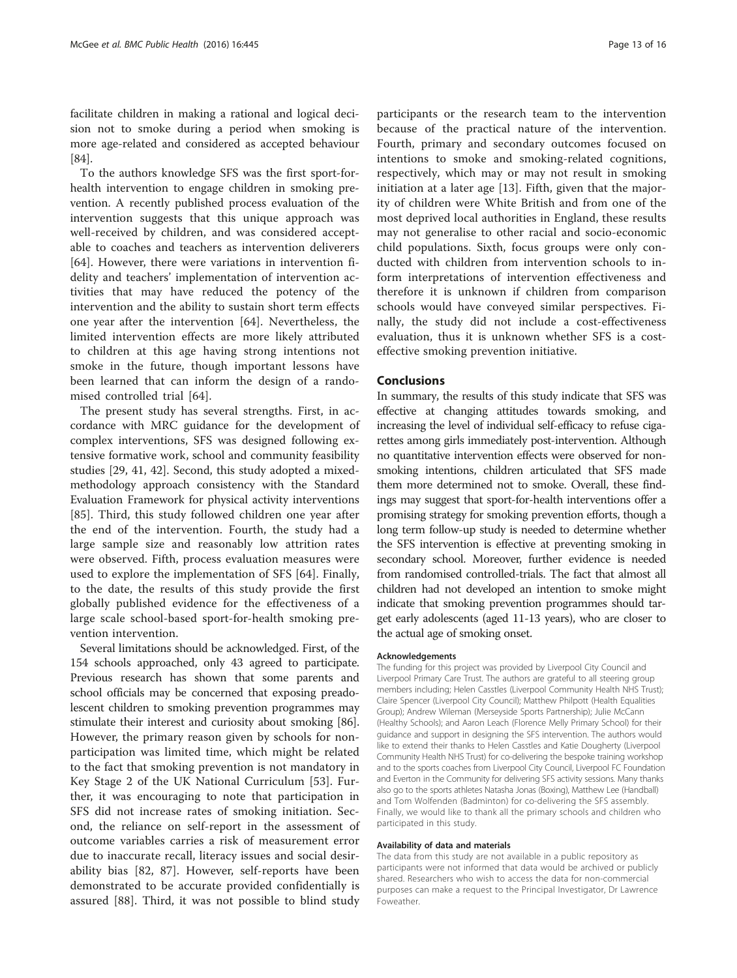facilitate children in making a rational and logical decision not to smoke during a period when smoking is more age-related and considered as accepted behaviour [[84\]](#page-14-0).

To the authors knowledge SFS was the first sport-forhealth intervention to engage children in smoking prevention. A recently published process evaluation of the intervention suggests that this unique approach was well-received by children, and was considered acceptable to coaches and teachers as intervention deliverers [[64\]](#page-14-0). However, there were variations in intervention fidelity and teachers' implementation of intervention activities that may have reduced the potency of the intervention and the ability to sustain short term effects one year after the intervention [\[64](#page-14-0)]. Nevertheless, the limited intervention effects are more likely attributed to children at this age having strong intentions not smoke in the future, though important lessons have been learned that can inform the design of a randomised controlled trial [[64\]](#page-14-0).

The present study has several strengths. First, in accordance with MRC guidance for the development of complex interventions, SFS was designed following extensive formative work, school and community feasibility studies [\[29](#page-13-0), [41](#page-14-0), [42\]](#page-14-0). Second, this study adopted a mixedmethodology approach consistency with the Standard Evaluation Framework for physical activity interventions [[85\]](#page-15-0). Third, this study followed children one year after the end of the intervention. Fourth, the study had a large sample size and reasonably low attrition rates were observed. Fifth, process evaluation measures were used to explore the implementation of SFS [\[64](#page-14-0)]. Finally, to the date, the results of this study provide the first globally published evidence for the effectiveness of a large scale school-based sport-for-health smoking prevention intervention.

Several limitations should be acknowledged. First, of the 154 schools approached, only 43 agreed to participate. Previous research has shown that some parents and school officials may be concerned that exposing preadolescent children to smoking prevention programmes may stimulate their interest and curiosity about smoking [[86](#page-15-0)]. However, the primary reason given by schools for nonparticipation was limited time, which might be related to the fact that smoking prevention is not mandatory in Key Stage 2 of the UK National Curriculum [\[53](#page-14-0)]. Further, it was encouraging to note that participation in SFS did not increase rates of smoking initiation. Second, the reliance on self-report in the assessment of outcome variables carries a risk of measurement error due to inaccurate recall, literacy issues and social desirability bias [[82](#page-14-0), [87\]](#page-15-0). However, self-reports have been demonstrated to be accurate provided confidentially is assured [\[88](#page-15-0)]. Third, it was not possible to blind study participants or the research team to the intervention because of the practical nature of the intervention. Fourth, primary and secondary outcomes focused on intentions to smoke and smoking-related cognitions, respectively, which may or may not result in smoking initiation at a later age [\[13](#page-13-0)]. Fifth, given that the majority of children were White British and from one of the most deprived local authorities in England, these results may not generalise to other racial and socio-economic child populations. Sixth, focus groups were only conducted with children from intervention schools to inform interpretations of intervention effectiveness and therefore it is unknown if children from comparison schools would have conveyed similar perspectives. Finally, the study did not include a cost-effectiveness evaluation, thus it is unknown whether SFS is a costeffective smoking prevention initiative.

#### Conclusions

In summary, the results of this study indicate that SFS was effective at changing attitudes towards smoking, and increasing the level of individual self-efficacy to refuse cigarettes among girls immediately post-intervention. Although no quantitative intervention effects were observed for nonsmoking intentions, children articulated that SFS made them more determined not to smoke. Overall, these findings may suggest that sport-for-health interventions offer a promising strategy for smoking prevention efforts, though a long term follow-up study is needed to determine whether the SFS intervention is effective at preventing smoking in secondary school. Moreover, further evidence is needed from randomised controlled-trials. The fact that almost all children had not developed an intention to smoke might indicate that smoking prevention programmes should target early adolescents (aged 11-13 years), who are closer to the actual age of smoking onset.

#### Acknowledgements

The funding for this project was provided by Liverpool City Council and Liverpool Primary Care Trust. The authors are grateful to all steering group members including; Helen Casstles (Liverpool Community Health NHS Trust); Claire Spencer (Liverpool City Council); Matthew Philpott (Health Equalities Group); Andrew Wileman (Merseyside Sports Partnership); Julie McCann (Healthy Schools); and Aaron Leach (Florence Melly Primary School) for their guidance and support in designing the SFS intervention. The authors would like to extend their thanks to Helen Casstles and Katie Dougherty (Liverpool Community Health NHS Trust) for co-delivering the bespoke training workshop and to the sports coaches from Liverpool City Council, Liverpool FC Foundation and Everton in the Community for delivering SFS activity sessions. Many thanks also go to the sports athletes Natasha Jonas (Boxing), Matthew Lee (Handball) and Tom Wolfenden (Badminton) for co-delivering the SFS assembly. Finally, we would like to thank all the primary schools and children who participated in this study.

#### Availability of data and materials

The data from this study are not available in a public repository as participants were not informed that data would be archived or publicly shared. Researchers who wish to access the data for non-commercial purposes can make a request to the Principal Investigator, Dr Lawrence Foweather.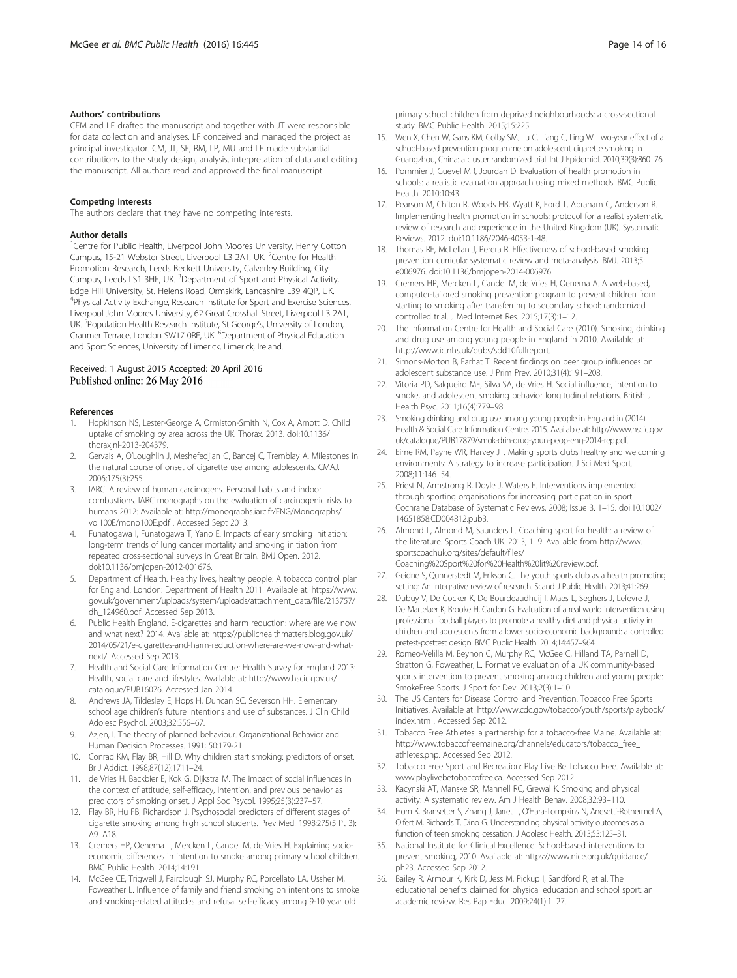#### <span id="page-13-0"></span>Authors' contributions

CEM and LF drafted the manuscript and together with JT were responsible for data collection and analyses. LF conceived and managed the project as principal investigator. CM, JT, SF, RM, LP, MU and LF made substantial contributions to the study design, analysis, interpretation of data and editing the manuscript. All authors read and approved the final manuscript.

#### Competing interests

The authors declare that they have no competing interests.

#### Author details

<sup>1</sup> Centre for Public Health, Liverpool John Moores University, Henry Cotton Campus, 15-21 Webster Street, Liverpool L3 2AT, UK.<sup>2</sup> Centre for Health Promotion Research, Leeds Beckett University, Calverley Building, City Campus, Leeds LS1 3HE, UK. <sup>3</sup>Department of Sport and Physical Activity, Edge Hill University, St. Helens Road, Ormskirk, Lancashire L39 4QP, UK. 4 Physical Activity Exchange, Research Institute for Sport and Exercise Sciences, Liverpool John Moores University, 62 Great Crosshall Street, Liverpool L3 2AT, UK. <sup>5</sup>Population Health Research Institute, St George's, University of London, Cranmer Terrace, London SW17 0RE, UK. <sup>6</sup>Department of Physical Education and Sport Sciences, University of Limerick, Limerick, Ireland.

### Received: 1 August 2015 Accepted: 20 April 2016 Published online: 26 May 2016

#### References

- 1. Hopkinson NS, Lester-George A, Ormiston-Smith N, Cox A, Arnott D. Child uptake of smoking by area across the UK. Thorax. 2013. doi[:10.1136/](http://dx.doi.org/10.1136/thoraxjnl-2013-204379) [thoraxjnl-2013-204379.](http://dx.doi.org/10.1136/thoraxjnl-2013-204379)
- 2. Gervais A, O'Loughlin J, Meshefedjian G, Bancej C, Tremblay A. Milestones in the natural course of onset of cigarette use among adolescents. CMAJ. 2006;175(3):255.
- IARC. A review of human carcinogens. Personal habits and indoor combustions. IARC monographs on the evaluation of carcinogenic risks to humans 2012: Available at: [http://monographs.iarc.fr/ENG/Monographs/](http://monographs.iarc.fr/ENG/Monographs/vol100E/mono100E.pdf) [vol100E/mono100E.pdf .](http://monographs.iarc.fr/ENG/Monographs/vol100E/mono100E.pdf) Accessed Sept 2013.
- 4. Funatogawa I, Funatogawa T, Yano E. Impacts of early smoking initiation: long-term trends of lung cancer mortality and smoking initiation from repeated cross-sectional surveys in Great Britain. BMJ Open. 2012. doi[:10.1136/bmjopen-2012-001676](http://dx.doi.org/10.1136/bmjopen-2012-001676).
- 5. Department of Health. Healthy lives, healthy people: A tobacco control plan for England. London: Department of Health 2011. Available at: [https://www.](https://www.gov.uk/government/uploads/system/uploads/attachment_data/file/213757/dh_124960.pdf) [gov.uk/government/uploads/system/uploads/attachment\\_data/file/213757/](https://www.gov.uk/government/uploads/system/uploads/attachment_data/file/213757/dh_124960.pdf) [dh\\_124960.pdf](https://www.gov.uk/government/uploads/system/uploads/attachment_data/file/213757/dh_124960.pdf). Accessed Sep 2013.
- 6. Public Health England. E-cigarettes and harm reduction: where are we now and what next? 2014. Available at: [https://publichealthmatters.blog.gov.uk/](https://publichealthmatters.blog.gov.uk/2014/05/21/e-cigarettes-and-harm-reduction-where-are-we-now-and-what-next/) [2014/05/21/e-cigarettes-and-harm-reduction-where-are-we-now-and-what](https://publichealthmatters.blog.gov.uk/2014/05/21/e-cigarettes-and-harm-reduction-where-are-we-now-and-what-next/)[next/.](https://publichealthmatters.blog.gov.uk/2014/05/21/e-cigarettes-and-harm-reduction-where-are-we-now-and-what-next/) Accessed Sep 2013.
- 7. Health and Social Care Information Centre: Health Survey for England 2013: Health, social care and lifestyles. Available at: [http://www.hscic.gov.uk/](http://www.hscic.gov.uk/catalogue/PUB16076) [catalogue/PUB16076.](http://www.hscic.gov.uk/catalogue/PUB16076) Accessed Jan 2014.
- Andrews JA, Tildesley E, Hops H, Duncan SC, Severson HH. Elementary school age children's future intentions and use of substances. J Clin Child Adolesc Psychol. 2003;32:556–67.
- 9. Azjen, I. The theory of planned behaviour. Organizational Behavior and Human Decision Processes. 1991; 50:179-21.
- 10. Conrad KM, Flay BR, Hill D. Why children start smoking: predictors of onset. Br J Addict. 1998;87(12):1711–24.
- 11. de Vries H, Backbier E, Kok G, Dijkstra M. The impact of social influences in the context of attitude, self-efficacy, intention, and previous behavior as predictors of smoking onset. J Appl Soc Psycol. 1995;25(3):237–57.
- 12. Flay BR, Hu FB, Richardson J. Psychosocial predictors of different stages of cigarette smoking among high school students. Prev Med. 1998;275(5 Pt 3): A9–A18.
- 13. Cremers HP, Oenema L, Mercken L, Candel M, de Vries H. Explaining socioeconomic differences in intention to smoke among primary school children. BMC Public Health. 2014;14:191.
- 14. McGee CE, Trigwell J, Fairclough SJ, Murphy RC, Porcellato LA, Ussher M, Foweather L. Influence of family and friend smoking on intentions to smoke and smoking-related attitudes and refusal self-efficacy among 9-10 year old

primary school children from deprived neighbourhoods: a cross-sectional study. BMC Public Health. 2015;15:225.

- 15. Wen X, Chen W, Gans KM, Colby SM, Lu C, Liang C, Ling W. Two-year effect of a school-based prevention programme on adolescent cigarette smoking in Guangzhou, China: a cluster randomized trial. Int J Epidemiol. 2010;39(3):860–76.
- 16. Pommier J, Guevel MR, Jourdan D. Evaluation of health promotion in schools: a realistic evaluation approach using mixed methods. BMC Public Health. 2010;10:43.
- 17. Pearson M, Chiton R, Woods HB, Wyatt K, Ford T, Abraham C, Anderson R. Implementing health promotion in schools: protocol for a realist systematic review of research and experience in the United Kingdom (UK). Systematic Reviews. 2012. doi[:10.1186/2046-4053-1-48.](http://dx.doi.org/10.1186/2046-4053-1-48)
- 18. Thomas RE, McLellan J, Perera R. Effectiveness of school-based smoking prevention curricula: systematic review and meta-analysis. BMJ. 2013;5: e006976. doi[:10.1136/bmjopen-2014-006976.](http://dx.doi.org/10.1136/bmjopen-2014-006976)
- 19. Cremers HP, Mercken L, Candel M, de Vries H, Oenema A. A web-based, computer-tailored smoking prevention program to prevent children from starting to smoking after transferring to secondary school: randomized controlled trial. J Med Internet Res. 2015;17(3):1–12.
- 20. The Information Centre for Health and Social Care (2010). Smoking, drinking and drug use among young people in England in 2010. Available at: [http://www.ic.nhs.uk/pubs/sdd10fullreport.](http://www.ic.nhs.uk/pubs/sdd10fullreport)
- 21. Simons-Morton B, Farhat T. Recent findings on peer group influences on adolescent substance use. J Prim Prev. 2010;31(4):191–208.
- 22. Vitoria PD, Salgueiro MF, Silva SA, de Vries H. Social influence, intention to smoke, and adolescent smoking behavior longitudinal relations. British J Health Psyc. 2011;16(4):779–98.
- 23. Smoking drinking and drug use among young people in England in (2014). Health & Social Care Information Centre, 2015. Available at: [http://www.hscic.gov.](http://www.hscic.gov.uk/catalogue/PUB17879/smok-drin-drug-youn-peop-eng-2014-rep.pdf) [uk/catalogue/PUB17879/smok-drin-drug-youn-peop-eng-2014-rep.pdf.](http://www.hscic.gov.uk/catalogue/PUB17879/smok-drin-drug-youn-peop-eng-2014-rep.pdf)
- 24. Eime RM, Payne WR, Harvey JT. Making sports clubs healthy and welcoming environments: A strategy to increase participation. J Sci Med Sport. 2008;11:146–54.
- 25. Priest N, Armstrong R, Doyle J, Waters E. Interventions implemented through sporting organisations for increasing participation in sport. Cochrane Database of Systematic Reviews, 2008; Issue 3. 1–15. doi:[10.1002/](http://dx.doi.org/10.1002/14651858.CD004812.pub3) [14651858.CD004812.pub3](http://dx.doi.org/10.1002/14651858.CD004812.pub3).
- 26. Almond L, Almond M, Saunders L. Coaching sport for health: a review of the literature. Sports Coach UK. 2013; 1–9. Available from [http://www.](http://www.sportscoachuk.org/sites/default/files/Coaching%20Sport%20for%20Health%20lit%20review.pdf) [sportscoachuk.org/sites/default/files/](http://www.sportscoachuk.org/sites/default/files/Coaching%20Sport%20for%20Health%20lit%20review.pdf) [Coaching%20Sport%20for%20Health%20lit%20review.pdf.](http://www.sportscoachuk.org/sites/default/files/Coaching%20Sport%20for%20Health%20lit%20review.pdf)
- 27. Geidne S, Qunnerstedt M, Erikson C. The youth sports club as a health promoting setting: An integrative review of research. Scand J Public Health. 2013;41:269.
- 28. Dubuy V, De Cocker K, De Bourdeaudhuij I, Maes L, Seghers J, Lefevre J, De Martelaer K, Brooke H, Cardon G. Evaluation of a real world intervention using professional football players to promote a healthy diet and physical activity in children and adolescents from a lower socio-economic background: a controlled pretest-posttest design. BMC Public Health. 2014;14:457–964.
- 29. Romeo-Velilla M, Beynon C, Murphy RC, McGee C, Hilland TA, Parnell D, Stratton G, Foweather, L. Formative evaluation of a UK community-based sports intervention to prevent smoking among children and young people: SmokeFree Sports. J Sport for Dev. 2013;2(3):1–10.
- 30. The US Centers for Disease Control and Prevention. Tobacco Free Sports Initiatives. Available at: [http://www.cdc.gov/tobacco/youth/sports/playbook/](http://www.cdc.gov/tobacco/youth/sports/playbook/index.htm) [index.htm](http://www.cdc.gov/tobacco/youth/sports/playbook/index.htm) . Accessed Sep 2012.
- 31. Tobacco Free Athletes: a partnership for a tobacco-free Maine. Available at: [http://www.tobaccofreemaine.org/channels/educators/tobacco\\_free\\_](http://www.tobaccofreemaine.org/channels/educators/tobacco_free_athletes.php) [athletes.php.](http://www.tobaccofreemaine.org/channels/educators/tobacco_free_athletes.php) Accessed Sep 2012.
- 32. Tobacco Free Sport and Recreation: Play Live Be Tobacco Free. Available at: [www.playlivebetobaccofree.ca.](http://www.playlivebetobaccofree.ca) Accessed Sep 2012.
- 33. Kacynski AT, Manske SR, Mannell RC, Grewal K. Smoking and physical activity: A systematic review. Am J Health Behav. 2008;32:93–110.
- 34. Horn K, Bransetter S, Zhang J, Jarret T, O'Hara-Tompkins N, Anesetti-Rothermel A, Olfert M, Richards T, Dino G. Understanding physical activity outcomes as a function of teen smoking cessation. J Adolesc Health. 2013;53:125–31.
- 35. National Institute for Clinical Excellence: School-based interventions to prevent smoking, 2010. Available at: [https://www.nice.org.uk/guidance/](https://www.nice.org.uk/guidance/ph23) [ph23](https://www.nice.org.uk/guidance/ph23). Accessed Sep 2012.
- 36. Bailey R, Armour K, Kirk D, Jess M, Pickup I, Sandford R, et al. The educational benefits claimed for physical education and school sport: an academic review. Res Pap Educ. 2009;24(1):1–27.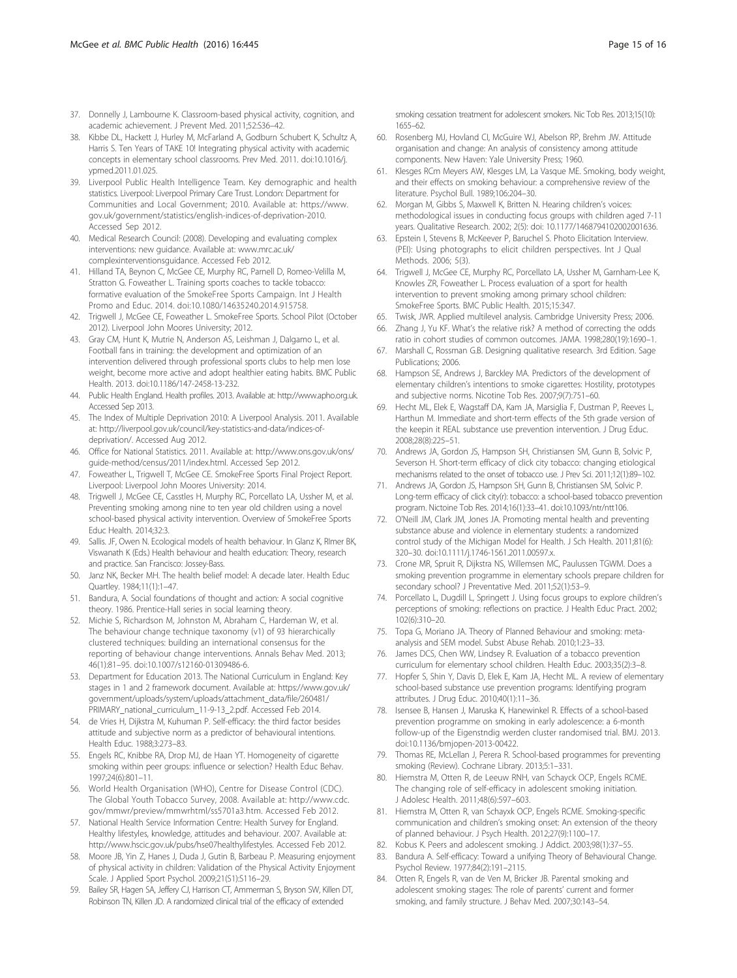- <span id="page-14-0"></span>37. Donnelly J, Lambourne K. Classroom-based physical activity, cognition, and academic achievement. J Prevent Med. 2011;52:S36–42.
- 38. Kibbe DL, Hackett J, Hurley M, McFarland A, Godburn Schubert K, Schultz A, Harris S. Ten Years of TAKE 10! Integrating physical activity with academic concepts in elementary school classrooms. Prev Med. 2011. doi:[10.1016/j.](http://dx.doi.org/10.1016/j.ypmed.2011.01.025) [ypmed.2011.01.025](http://dx.doi.org/10.1016/j.ypmed.2011.01.025).
- 39. Liverpool Public Health Intelligence Team. Key demographic and health statistics. Liverpool: Liverpool Primary Care Trust. London: Department for Communities and Local Government; 2010. Available at: [https://www.](https://www.gov.uk/government/statistics/english-indices-of-deprivation-2010) [gov.uk/government/statistics/english-indices-of-deprivation-2010](https://www.gov.uk/government/statistics/english-indices-of-deprivation-2010). Accessed Sep 2012.
- 40. Medical Research Council: (2008). Developing and evaluating complex interventions: new guidance. Available at: [www.mrc.ac.uk/](https://www.mrc.ac.uk/complexinterventionsguidance) [complexinterventionsguidance.](https://www.mrc.ac.uk/complexinterventionsguidance) Accessed Feb 2012.
- 41. Hilland TA, Beynon C, McGee CE, Murphy RC, Parnell D, Romeo-Velilla M, Stratton G. Foweather L. Training sports coaches to tackle tobacco: formative evaluation of the SmokeFree Sports Campaign. Int J Health Promo and Educ. 2014. doi:[10.1080/14635240.2014.915758.](http://dx.doi.org/10.1080/14635240.2014.915758)
- 42. Trigwell J, McGee CE, Foweather L. SmokeFree Sports. School Pilot (October 2012). Liverpool John Moores University; 2012.
- 43. Gray CM, Hunt K, Mutrie N, Anderson AS, Leishman J, Dalgamo L, et al. Football fans in training: the development and optimization of an intervention delivered through professional sports clubs to help men lose weight, become more active and adopt healthier eating habits. BMC Public Health. 2013. doi:[10.1186/147-2458-13-232](http://dx.doi.org/10.1186/147-2458-13-232).
- 44. Public Health England. Health profiles. 2013. Available at:<http://www.apho.org.uk>. Accessed Sep 2013.
- 45. The Index of Multiple Deprivation 2010: A Liverpool Analysis. 2011. Available at[: http://liverpool.gov.uk/council/key-statistics-and-data/indices-of](http://liverpool.gov.uk/council/key-statistics-and-data/indices-of-deprivation/)[deprivation/](http://liverpool.gov.uk/council/key-statistics-and-data/indices-of-deprivation/). Accessed Aug 2012.
- 46. Office for National Statistics. 2011. Available at: [http://www.ons.gov.uk/ons/](http://www.ons.gov.uk/ons/guide-method/census/2011/index.html) [guide-method/census/2011/index.html](http://www.ons.gov.uk/ons/guide-method/census/2011/index.html). Accessed Sep 2012.
- 47. Foweather L, Trigwell T, McGee CE. SmokeFree Sports Final Project Report. Liverpool: Liverpool John Moores University: 2014.
- 48. Trigwell J, McGee CE, Casstles H, Murphy RC, Porcellato LA, Ussher M, et al. Preventing smoking among nine to ten year old children using a novel school-based physical activity intervention. Overview of SmokeFree Sports Educ Health. 2014;32:3.
- 49. Sallis. JF, Owen N. Ecological models of health behaviour. In Glanz K, RImer BK, Viswanath K (Eds.) Health behaviour and health education: Theory, research and practice. San Francisco: Jossey-Bass.
- 50. Janz NK, Becker MH. The health belief model: A decade later. Health Educ Quartley. 1984;11(1):1–47.
- 51. Bandura, A. Social foundations of thought and action: A social cognitive theory. 1986. Prentice-Hall series in social learning theory.
- 52. Michie S, Richardson M, Johnston M, Abraham C, Hardeman W, et al. The behaviour change technique taxonomy (v1) of 93 hierarchically clustered techniques: building an international consensus for the reporting of behaviour change interventions. Annals Behav Med. 2013; 46(1):81–95. doi[:10.1007/s12160-01309486-6](http://dx.doi.org/10.1007/s12160-01309486-6).
- 53. Department for Education 2013. The National Curriculum in England: Key stages in 1 and 2 framework document. Available at: [https://www.gov.uk/](https://www.gov.uk/government/uploads/system/uploads/attachment_data/file/260481/PRIMARY_national_curriculum_11-9-13_2.pdf) [government/uploads/system/uploads/attachment\\_data/file/260481/](https://www.gov.uk/government/uploads/system/uploads/attachment_data/file/260481/PRIMARY_national_curriculum_11-9-13_2.pdf) [PRIMARY\\_national\\_curriculum\\_11-9-13\\_2.pdf.](https://www.gov.uk/government/uploads/system/uploads/attachment_data/file/260481/PRIMARY_national_curriculum_11-9-13_2.pdf) Accessed Feb 2014.
- 54. de Vries H, Dijkstra M, Kuhuman P. Self-efficacy: the third factor besides attitude and subjective norm as a predictor of behavioural intentions. Health Educ. 1988;3:273–83.
- 55. Engels RC, Knibbe RA, Drop MJ, de Haan YT. Homogeneity of cigarette smoking within peer groups: influence or selection? Health Educ Behav. 1997;24(6):801–11.
- 56. World Health Organisation (WHO), Centre for Disease Control (CDC). The Global Youth Tobacco Survey, 2008. Available at: [http://www.cdc.](http://www.cdc.gov/mmwr/preview/mmwrhtml/ss5701a3.htm) [gov/mmwr/preview/mmwrhtml/ss5701a3.htm](http://www.cdc.gov/mmwr/preview/mmwrhtml/ss5701a3.htm). Accessed Feb 2012.
- 57. National Health Service Information Centre: Health Survey for England. Healthy lifestyles, knowledge, attitudes and behaviour. 2007. Available at: <http://www.hscic.gov.uk/pubs/hse07healthylifestyles>. Accessed Feb 2012.
- 58. Moore JB, Yin Z, Hanes J, Duda J, Gutin B, Barbeau P. Measuring enjoyment of physical activity in children: Validation of the Physical Activity Enjoyment Scale. J Applied Sport Psychol. 2009;21(S1):S116–29.
- 59. Bailey SR, Hagen SA, Jeffery CJ, Harrison CT, Ammerman S, Bryson SW, Killen DT, Robinson TN, Killen JD. A randomized clinical trial of the efficacy of extended

smoking cessation treatment for adolescent smokers. Nic Tob Res. 2013;15(10): 1655–62.

- 60. Rosenberg MJ, Hovland CI, McGuire WJ, Abelson RP, Brehm JW. Attitude organisation and change: An analysis of consistency among attitude components. New Haven: Yale University Press; 1960.
- 61. Klesges RCm Meyers AW, Klesges LM, La Vasque ME. Smoking, body weight, and their effects on smoking behaviour: a comprehensive review of the literature. Psychol Bull. 1989;106:204–30.
- 62. Morgan M, Gibbs S, Maxwell K, Britten N. Hearing children's voices: methodological issues in conducting focus groups with children aged 7-11 years. Qualitative Research. 2002; 2(5): doi: [10.1177/1468794102002001636](http://dx.doi.org/10.1177/1468794102002001636).
- 63. Epstein I, Stevens B, McKeever P, Baruchel S. Photo Elicitation Interview. (PEI): Using photographs to elicit children perspectives. Int J Qual Methods. 2006; 5(3).
- Trigwell J, McGee CE, Murphy RC, Porcellato LA, Ussher M, Garnham-Lee K, Knowles ZR, Foweather L. Process evaluation of a sport for health intervention to prevent smoking among primary school children: SmokeFree Sports. BMC Public Health. 2015;15:347.
- 65. Twisk, JWR. Applied multilevel analysis. Cambridge University Press; 2006.
- 66. Zhang J, Yu KF. What's the relative risk? A method of correcting the odds ratio in cohort studies of common outcomes. JAMA. 1998;280(19):1690–1.
- 67. Marshall C, Rossman G.B. Designing qualitative research. 3rd Edition. Sage Publications; 2006.
- 68. Hampson SE, Andrews J, Barckley MA. Predictors of the development of elementary children's intentions to smoke cigarettes: Hostility, prototypes and subjective norms. Nicotine Tob Res. 2007;9(7):751–60.
- 69. Hecht ML, Elek E, Wagstaff DA, Kam JA, Marsiglia F, Dustman P, Reeves L, Harthun M. Immediate and short-term effects of the 5th grade version of the keepin it REAL substance use prevention intervention. J Drug Educ. 2008;28(8):225–51.
- 70. Andrews JA, Gordon JS, Hampson SH, Christiansen SM, Gunn B, Solvic P, Severson H. Short-term efficacy of click city tobacco: changing etiological mechanisms related to the onset of tobacco use. J Prev Sci. 2011;12(1):89–102.
- 71. Andrews JA, Gordon JS, Hampson SH, Gunn B, Christiansen SM, Solvic P. Long-term efficacy of click city(r): tobacco: a school-based tobacco prevention program. Nictoine Tob Res. 2014;16(1):33–41. doi[:10.1093/ntr/ntt106.](http://dx.doi.org/10.1093/ntr/ntt106)
- 72. O'Neill JM, Clark JM, Jones JA. Promoting mental health and preventing substance abuse and violence in elementary students: a randomized control study of the Michigan Model for Health. J Sch Health. 2011;81(6): 320–30. doi:[10.1111/j.1746-1561.2011.00597.x](http://dx.doi.org/10.1111/j.1746-1561.2011.00597.x).
- 73. Crone MR, Spruit R, Dijkstra NS, Willemsen MC, Paulussen TGWM. Does a smoking prevention programme in elementary schools prepare children for secondary school? J Preventative Med. 2011;52(1):53–9.
- 74. Porcellato L, Dugdill L, Springett J. Using focus groups to explore children's perceptions of smoking: reflections on practice. J Health Educ Pract. 2002; 102(6):310–20.
- 75. Topa G, Moriano JA. Theory of Planned Behaviour and smoking: metaanalysis and SEM model. Subst Abuse Rehab. 2010;1:23–33.
- 76. James DCS, Chen WW, Lindsey R. Evaluation of a tobacco prevention curriculum for elementary school children. Health Educ. 2003;35(2):3–8.
- 77. Hopfer S, Shin Y, Davis D, Elek E, Kam JA, Hecht ML. A review of elementary school-based substance use prevention programs: Identifying program attributes. J Drug Educ. 2010;40(1):11–36.
- 78. Isensee B, Hansen J, Maruska K, Hanewinkel R. Effects of a school-based prevention programme on smoking in early adolescence: a 6-month follow-up of the Eigenstndig werden cluster randomised trial. BMJ. 2013. doi[:10.1136/bmjopen-2013-00422.](http://dx.doi.org/10.1136/bmjopen-2013-00422)
- 79. Thomas RE, McLellan J, Perera R. School-based programmes for preventing smoking (Review). Cochrane Library. 2013;5:1–331.
- 80. Hiemstra M, Otten R, de Leeuw RNH, van Schayck OCP, Engels RCME. The changing role of self-efficacy in adolescent smoking initiation. J Adolesc Health. 2011;48(6):597–603.
- 81. Hiemstra M, Otten R, van Schayxk OCP, Engels RCME. Smoking-specific communication and children's smoking onset: An extension of the theory of planned behaviour. J Psych Health. 2012;27(9):1100–17.
- 82. Kobus K. Peers and adolescent smoking. J Addict. 2003;98(1):37–55.
- 83. Bandura A. Self-efficacy: Toward a unifying Theory of Behavioural Change. Psychol Review. 1977;84(2):191–2115.
- 84. Otten R, Engels R, van de Ven M, Bricker JB. Parental smoking and adolescent smoking stages: The role of parents' current and former smoking, and family structure. J Behav Med. 2007;30:143–54.